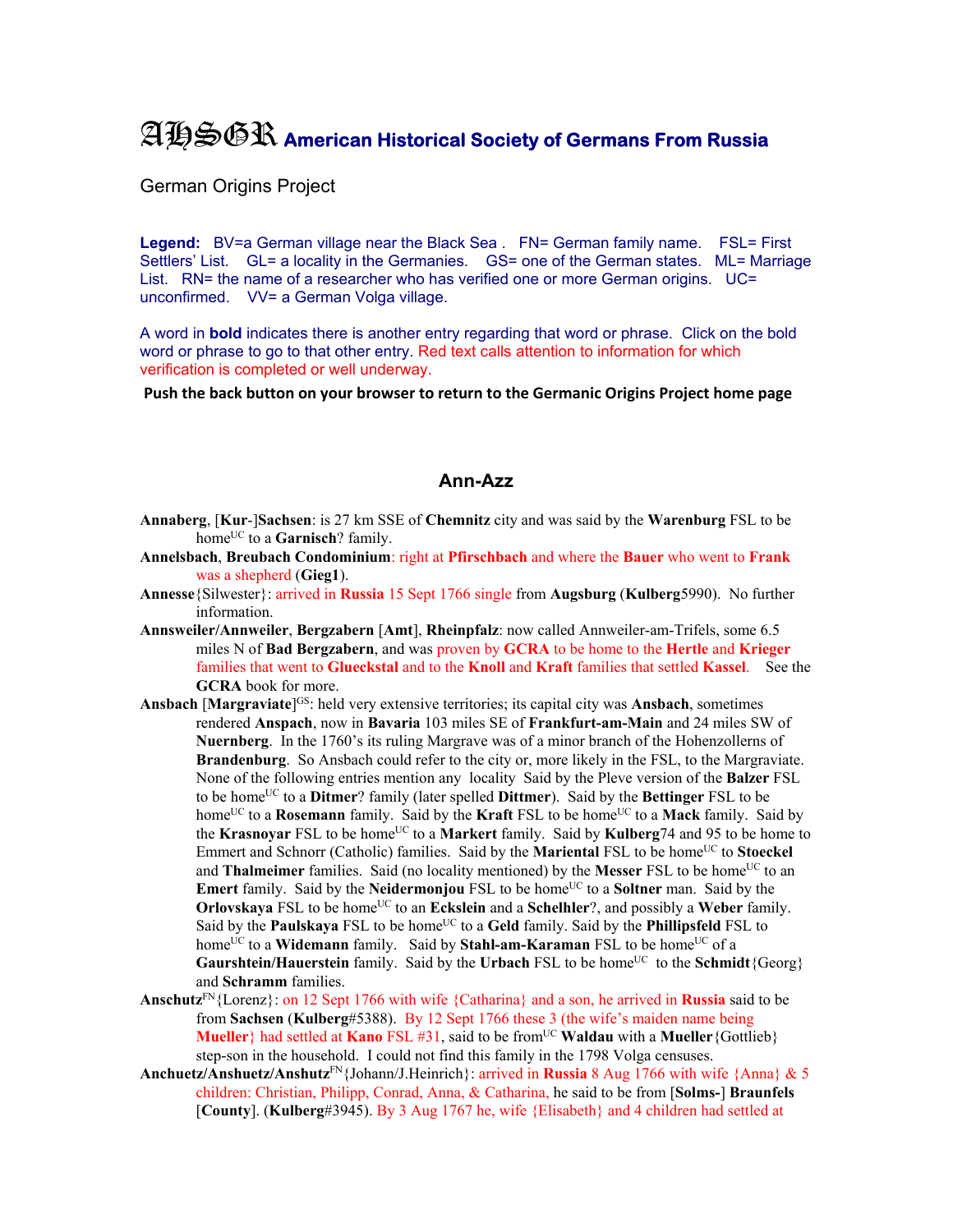## AHSGR **American Historical Society of Germans From Russia**

German Origins Project

Legend: BV=a German village near the Black Sea . FN= German family name. FSL= First Settlers' List. GL= a locality in the Germanies. GS= one of the German states. ML= Marriage List. RN= the name of a researcher who has verified one or more German origins. UC= unconfirmed. VV= a German Volga village.

A word in **bold** indicates there is another entry regarding that word or phrase. Click on the bold word or phrase to go to that other entry. Red text calls attention to information for which verification is completed or well underway.

**Push the back button on your browser to return to the Germanic Origins Project home page**

## **Ann-Azz**

- **Annaberg**, [**Kur**-]**Sachsen**: is 27 km SSE of **Chemnitz** city and was said by the **Warenburg** FSL to be home<sup>UC</sup> to a **Garnisch**? family.
- **Annelsbach**, **Breubach Condominium**: right at **Pfirschbach** and where the **Bauer** who went to **Frank** was a shepherd (**Gieg1**).
- **Annesse**{Silwester}: arrived in **Russia** 15 Sept 1766 single from **Augsburg** (**Kulberg**5990). No further information.
- **Annsweiler/Annweiler**, **Bergzabern** [**Amt**], **Rheinpfalz**: now called Annweiler-am-Trifels, some 6.5 miles N of **Bad Bergzabern**, and was proven by **GCRA** to be home to the **Hertle** and **Krieger** families that went to **Glueckstal** and to the **Knoll** and **Kraft** families that settled **Kassel**. See the **GCRA** book for more.
- **Ansbach [Margraviate]**<sup>GS</sup>: held very extensive territories; its capital city was **Ansbach**, sometimes rendered **Anspach**, now in **Bavaria** 103 miles SE of **Frankfurt-am-Main** and 24 miles SW of **Nuernberg**. In the 1760's its ruling Margrave was of a minor branch of the Hohenzollerns of **Brandenburg**. So Ansbach could refer to the city or, more likely in the FSL, to the Margraviate. None of the following entries mention any locality Said by the Pleve version of the **Balzer** FSL to be homeUC to a **Ditmer**? family (later spelled **Dittmer**). Said by the **Bettinger** FSL to be home<sup>UC</sup> to a **Rosemann** family. Said by the **Kraft** FSL to be home<sup>UC</sup> to a **Mack** family. Said by the **Krasnovar** FSL to be home<sup>UC</sup> to a **Markert** family. Said by **Kulberg**74 and 95 to be home to Emmert and Schnorr (Catholic) families. Said by the **Mariental** FSL to be home<sup>UC</sup> to **Stoeckel** and **Thalmeimer** families. Said (no locality mentioned) by the **Messer** FSL to be home<sup>UC</sup> to an Emert family. Said by the Neidermonjou FSL to be home<sup>UC</sup> to a Soltner man. Said by the **Orlovskaya** FSL to be home<sup>UC</sup> to an **Eckslein** and a **Schelhler**?, and possibly a **Weber** family. Said by the **Paulskaya** FSL to be home<sup>UC</sup> to a Geld family. Said by the **Phillipsfeld** FSL to home<sup>UC</sup> to a **Widemann** family. Said by **Stahl-am-Karaman** FSL to be home<sup>UC</sup> of a **Gaurshtein/Hauerstein** family. Said by the **Urbach** FSL to be home<sup>UC</sup> to the **Schmidt**{Georg} and **Schramm** families.
- **Anschutz**FN{Lorenz}: on 12 Sept 1766 with wife {Catharina} and a son, he arrived in **Russia** said to be from **Sachsen** (**Kulberg**#5388). By 12 Sept 1766 these 3 (the wife's maiden name being **Mueller**} had settled at **Kano** FSL #31, said to be from<sup>UC</sup> **Waldau** with a **Mueller**{Gottlieb} step-son in the household. I could not find this family in the 1798 Volga censuses.
- **Anchuetz/Anshuetz/Anshutz**FN{Johann/J.Heinrich}: arrived in **Russia** 8 Aug 1766 with wife {Anna} & 5 children: Christian, Philipp, Conrad, Anna, & Catharina, he said to be from [**Solms-**] **Braunfels** [**County**]. (**Kulberg**#3945). By 3 Aug 1767 he, wife {Elisabeth} and 4 children had settled at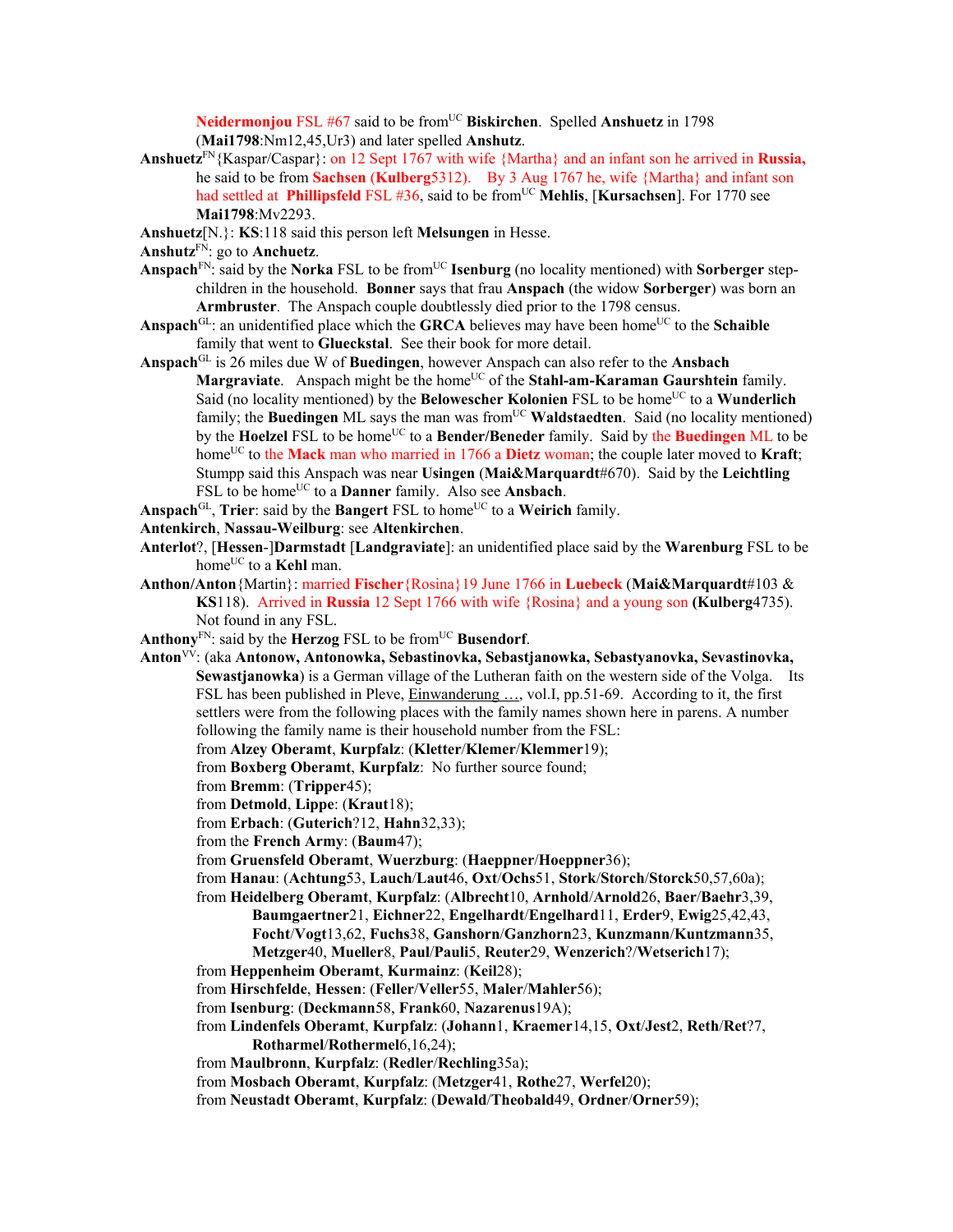**Neidermonjou** FSL #67 said to be from<sup>UC</sup> Biskirchen. Spelled Anshuetz in 1798 (**Mai1798**:Nm12,45,Ur3) and later spelled **Anshutz**.

- **Anshuetz**FN{Kaspar/Caspar}: on 12 Sept 1767 with wife {Martha} and an infant son he arrived in **Russia,**  he said to be from **Sachsen** (**Kulberg**5312). By 3 Aug 1767 he, wife {Martha} and infant son had settled at **Phillipsfeld** FSL #36, said to be from<sup>UC</sup> Mehlis, [Kursachsen]. For 1770 see **Mai1798**:Mv2293.
- **Anshuetz**[N.}: **KS**:118 said this person left **Melsungen** in Hesse.

**Anshutz**FN: go to **Anchuetz**.

- Anspach<sup>FN</sup>: said by the **Norka** FSL to be from<sup>UC</sup> **Isenburg** (no locality mentioned) with **Sorberger** stepchildren in the household. **Bonner** says that frau **Anspach** (the widow **Sorberger**) was born an **Armbruster**. The Anspach couple doubtlessly died prior to the 1798 census.
- Anspach<sup>GL</sup>: an unidentified place which the **GRCA** believes may have been home<sup>UC</sup> to the **Schaible** family that went to **Glueckstal**. See their book for more detail.
- **Anspach**GL is 26 miles due W of **Buedingen**, however Anspach can also refer to the **Ansbach Margraviate.** Anspach might be the home<sup>UC</sup> of the **Stahl-am-Karaman Gaurshtein** family. Said (no locality mentioned) by the **Belowescher Kolonien** FSL to be home<sup>UC</sup> to a **Wunderlich** family; the **Buedingen** ML says the man was from<sup>UC</sup> **Waldstaedten**. Said (no locality mentioned) by the **Hoelzel** FSL to be home<sup>UC</sup> to a **Bender/Beneder** family. Said by the **Buedingen** ML to be home<sup>UC</sup> to the **Mack** man who married in 1766 a **Dietz** woman; the couple later moved to **Kraft**; Stumpp said this Anspach was near **Usingen** (**Mai&Marquardt**#670). Said by the **Leichtling** FSL to be home<sup>UC</sup> to a **Danner** family. Also see **Ansbach**.
- Anspach<sup>GL</sup>, Trier: said by the **Bangert** FSL to home<sup>UC</sup> to a Weirich family.
- **Antenkirch**, **Nassau-Weilburg**: see **Altenkirchen**.
- **Anterlot**?, [**Hessen**-]**Darmstadt** [**Landgraviate**]: an unidentified place said by the **Warenburg** FSL to be home<sup>UC</sup> to a **Kehl** man.
- **Anthon/Anton**{Martin}: married **Fischer**{Rosina}19 June 1766 in **Luebeck** (**Mai&Marquardt**#103 & **KS**118). Arrived in **Russia** 12 Sept 1766 with wife {Rosina} and a young son **(Kulberg**4735). Not found in any FSL.
- **Anthony**<sup>FN</sup>: said by the **Herzog** FSL to be from<sup>UC</sup> **Busendorf**.
- **Anton**VV: (aka **Antonow, Antonowka, Sebastinovka, Sebastjanowka, Sebastyanovka, Sevastinovka, Sewastjanowka**) is a German village of the Lutheran faith on the western side of the Volga. Its FSL has been published in Pleve, Einwanderung ..., vol.I, pp.51-69. According to it, the first settlers were from the following places with the family names shown here in parens. A number following the family name is their household number from the FSL:
	- from **Alzey Oberamt**, **Kurpfalz**: (**Kletter**/**Klemer**/**Klemmer**19);
	- from **Boxberg Oberamt**, **Kurpfalz**:No further source found;
	- from **Bremm**: (**Tripper**45);
	- from **Detmold**, **Lippe**: (**Kraut**18);
	- from **Erbach**: (**Guterich**?12, **Hahn**32,33);
	- from the **French Army**: (**Baum**47);
	- from **Gruensfeld Oberamt**, **Wuerzburg**: (**Haeppner**/**Hoeppner**36);
	- from **Hanau**: (**Achtung**53, **Lauch**/**Laut**46, **Oxt**/**Ochs**51, **Stork**/**Storch**/**Storck**50,57,60a);
	- from **Heidelberg Oberamt**, **Kurpfalz**: (**Albrecht**10, **Arnhold**/**Arnold**26, **Baer**/**Baehr**3,39,
		- **Baumgaertner**21, **Eichner**22, **Engelhardt**/**Engelhard**11, **Erder**9, **Ewig**25,42,43, **Focht**/**Vogt**13,62, **Fuchs**38, **Ganshorn**/**Ganzhorn**23, **Kunzmann**/**Kuntzmann**35, **Metzger**40, **Mueller**8, **Paul**/**Pauli**5, **Reuter**29, **Wenzerich**?/**Wetserich**17);
	- from **Heppenheim Oberamt**, **Kurmainz**: (**Keil**28);
	- from **Hirschfelde**, **Hessen**: (**Feller**/**Veller**55, **Maler**/**Mahler**56);
	- from **Isenburg**: (**Deckmann**58, **Frank**60, **Nazarenus**19A);
	- from **Lindenfels Oberamt**, **Kurpfalz**: (**Johann**1, **Kraemer**14,15, **Oxt**/**Jest**2, **Reth**/**Ret**?7, **Rotharmel**/**Rothermel**6,16,24);
	- from **Maulbronn**, **Kurpfalz**: (**Redler**/**Rechling**35a);
	- from **Mosbach Oberamt**, **Kurpfalz**: (**Metzger**41, **Rothe**27, **Werfel**20);
	- from **Neustadt Oberamt**, **Kurpfalz**: (**Dewald**/**Theobald**49, **Ordner**/**Orner**59);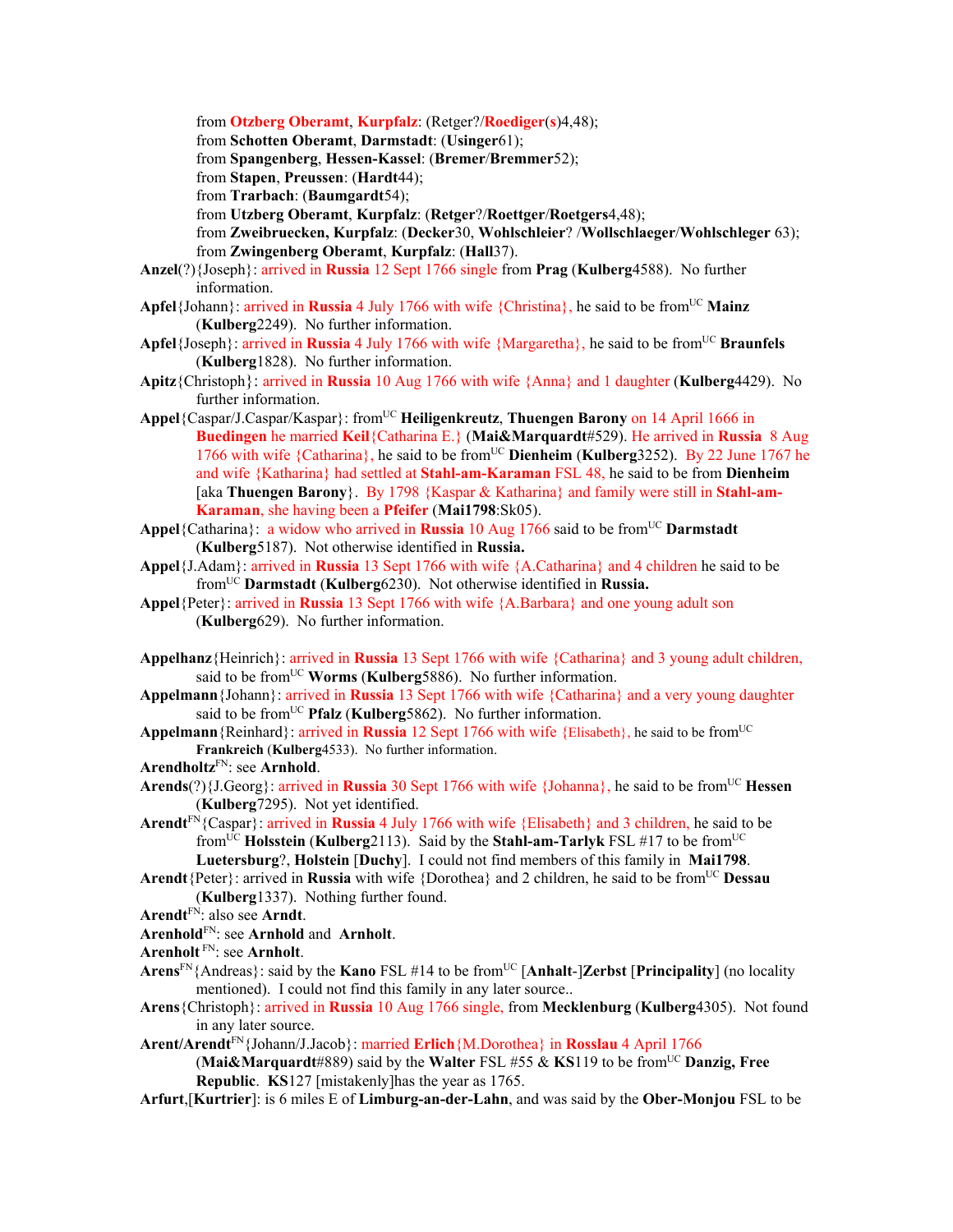from **Otzberg Oberamt**, **Kurpfalz**: (Retger?/**Roediger**(**s**)4,48);

from **Schotten Oberamt**, **Darmstadt**: (**Usinger**61);

from **Spangenberg**, **Hessen-Kassel**: (**Bremer**/**Bremmer**52);

from **Stapen**, **Preussen**: (**Hardt**44);

from **Trarbach**: (**Baumgardt**54);

from **Utzberg Oberamt**, **Kurpfalz**: (**Retger**?/**Roettger**/**Roetgers**4,48);

from **Zweibruecken, Kurpfalz**: (**Decker**30, **Wohlschleier**? /**Wollschlaeger**/**Wohlschleger** 63); from **Zwingenberg Oberamt**, **Kurpfalz**: (**Hall**37).

- **Anzel**(?){Joseph}: arrived in **Russia** 12 Sept 1766 single from **Prag** (**Kulberg**4588). No further information.
- Apfel<sup>{Johann}: arrived in **Russia** 4 July 1766 with wife {Christina}, he said to be from<sup>UC</sup> Mainz</sup> (**Kulberg**2249). No further information.
- **Apfel**{Joseph}: arrived in **Russia** 4 July 1766 with wife {Margaretha}, he said to be from<sup>UC</sup> **Braunfels** (**Kulberg**1828). No further information.
- **Apitz**{Christoph}: arrived in **Russia** 10 Aug 1766 with wife {Anna} and 1 daughter (**Kulberg**4429). No further information.
- **Appel**{Caspar/J.Caspar/Kaspar}: fromUC **Heiligenkreutz**, **Thuengen Barony** on 14 April 1666 in **Buedingen** he married **Keil**{Catharina E.} (**Mai&Marquardt**#529). He arrived in **Russia** 8 Aug 1766 with wife {Catharina}, he said to be from<sup>UC</sup> **Dienheim (Kulberg**3252). By 22 June 1767 he and wife {Katharina} had settled at **Stahl-am-Karaman** FSL 48, he said to be from **Dienheim** [aka **Thuengen Barony**}. By 1798 {Kaspar & Katharina} and family were still in **Stahl-am-Karaman**, she having been a **Pfeifer** (**Mai1798**:Sk05).
- Appel<sup>{Catharina}: a widow who arrived in **Russia** 10 Aug 1766 said to be from<sup>UC</sup> **Darmstadt**</sup> (**Kulberg**5187). Not otherwise identified in **Russia.**
- **Appel**{J.Adam}: arrived in **Russia** 13 Sept 1766 with wife {A.Catharina} and 4 children he said to be fromUC **Darmstadt** (**Kulberg**6230). Not otherwise identified in **Russia.**
- **Appel**{Peter}: arrived in **Russia** 13 Sept 1766 with wife {A.Barbara} and one young adult son (**Kulberg**629). No further information.
- **Appelhanz**{Heinrich}: arrived in **Russia** 13 Sept 1766 with wife {Catharina} and 3 young adult children, said to be from<sup>UC</sup> Worms (Kulberg5886). No further information.
- **Appelmann**{Johann}: arrived in **Russia** 13 Sept 1766 with wife {Catharina} and a very young daughter said to be from<sup>UC</sup> **Pfalz** (**Kulberg**5862). No further information.
- **Appelmann**{Reinhard}: arrived in **Russia** 12 Sept 1766 with wife {Elisabeth}, he said to be fromUC **Frankreich** (**Kulberg**4533). No further information.
- **Arendholtz**FN: see **Arnhold**.
- Arends(?){J.Georg}: arrived in Russia 30 Sept 1766 with wife {Johanna}, he said to be from<sup>UC</sup> Hessen (**Kulberg**7295). Not yet identified.
- **Arendt**FN{Caspar}: arrived in **Russia** 4 July 1766 with wife {Elisabeth} and 3 children, he said to be fromUC **Holsstein** (**Kulberg**2113). Said by the **Stahl-am-Tarlyk** FSL #17 to be fromUC **Luetersburg**?, **Holstein** [**Duchy**]. I could not find members of this family in **Mai1798**.
- **Arendt**{Peter}: arrived in **Russia** with wife {Dorothea} and 2 children, he said to be from<sup>UC</sup> Dessau (**Kulberg**1337). Nothing further found.
- **Arendt**FN: also see **Arndt**.
- **Arenhold**FN: see **Arnhold** and **Arnholt**.
- **Arenholt** FN: see **Arnholt**.
- **Arens**FN{Andreas}: said by the **Kano** FSL #14 to be fromUC [**Anhalt**-]**Zerbst** [**Principality**] (no locality mentioned). I could not find this family in any later source..
- **Arens**{Christoph}: arrived in **Russia** 10 Aug 1766 single, from **Mecklenburg** (**Kulberg**4305). Not found in any later source.

**Arent/Arendt**FN{Johann/J.Jacob}: married **Erlich**{M.Dorothea} in **Rosslau** 4 April 1766

(**Mai&Marquardt**#889) said by the **Walter** FSL #55 & **KS**119 to be fromUC **Danzig, Free Republic**. **KS**127 [mistakenly]has the year as 1765.

**Arfurt**,[**Kurtrier**]: is 6 miles E of **Limburg-an-der-Lahn**, and was said by the **Ober-Monjou** FSL to be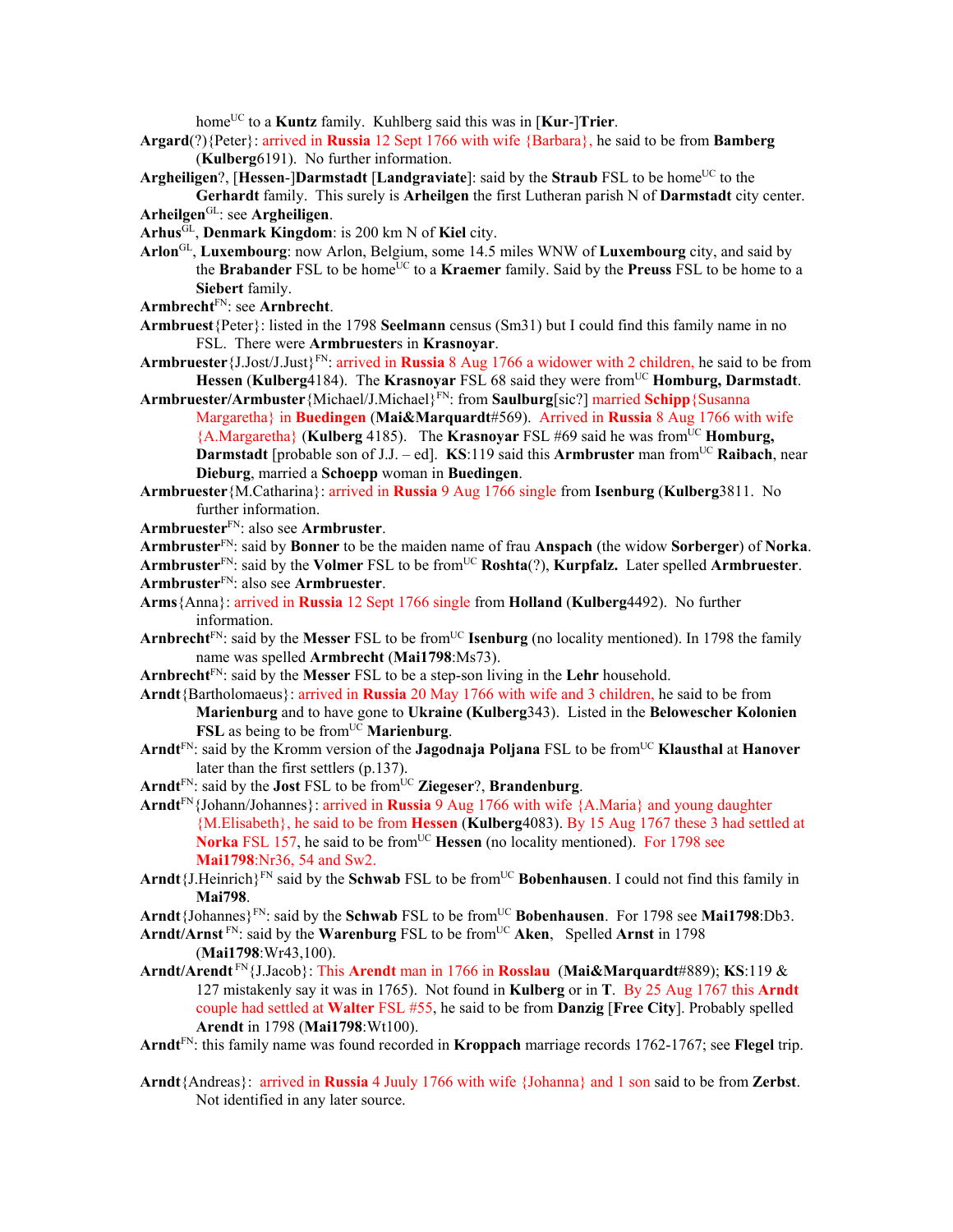home<sup>UC</sup> to a **Kuntz** family. Kuhlberg said this was in [**Kur-**]Trier.

- **Argard**(?){Peter}: arrived in **Russia** 12 Sept 1766 with wife {Barbara}, he said to be from **Bamberg**  (**Kulberg**6191). No further information.
- Argheiligen?, [Hessen-]Darmstadt [Landgraviate]: said by the Straub FSL to be home<sup>UC</sup> to the **Gerhardt** family. This surely is **Arheilgen** the first Lutheran parish N of **Darmstadt** city center.
- **Arheilgen**GL: see **Argheiligen**.
- **Arhus**GL, **Denmark Kingdom**: is 200 km N of **Kiel** city.
- **Arlon**GL, **Luxembourg**: now Arlon, Belgium, some 14.5 miles WNW of **Luxembourg** city, and said by the **Brabander** FSL to be home<sup>UC</sup> to a **Kraemer** family. Said by the **Preuss** FSL to be home to a **Siebert** family.
- **Armbrecht**FN: see **Arnbrecht**.
- **Armbruest**{Peter}: listed in the 1798 **Seelmann** census (Sm31) but I could find this family name in no FSL. There were **Armbruester**s in **Krasnoyar**.
- **Armbruester**{J.Jost/J.Just}FN: arrived in **Russia** 8 Aug 1766 a widower with 2 children, he said to be from **Hessen (Kulberg4184). The Krasnoyar** FSL 68 said they were from<sup>UC</sup> **Homburg, Darmstadt.**
- **Armbruester/Armbuster**{Michael/J.Michael}FN: from **Saulburg**[sic?] married **Schipp**{Susanna Margaretha} in **Buedingen** (**Mai&Marquardt**#569). Arrived in **Russia** 8 Aug 1766 with wife  ${A.Margaretha}$  (Kulberg 4185). The Krasnoyar FSL #69 said he was from<sup>UC</sup> Homburg, **Darmstadt** [probable son of J.J. – ed]. **KS**:119 said this **Armbruster** man from<sup>UC</sup> **Raibach**, near **Dieburg**, married a **Schoepp** woman in **Buedingen**.
- **Armbruester**{M.Catharina}: arrived in **Russia** 9 Aug 1766 single from **Isenburg** (**Kulberg**3811. No further information.
- **Armbruester**FN: also see **Armbruster**.
- **Armbruster**FN: said by **Bonner** to be the maiden name of frau **Anspach** (the widow **Sorberger**) of **Norka**. **Armbruster**FN: said by the **Volmer** FSL to be fromUC **Roshta**(?), **Kurpfalz.** Later spelled **Armbruester**. **Armbruster**FN: also see **Armbruester**.
- **Arms**{Anna}: arrived in **Russia** 12 Sept 1766 single from **Holland** (**Kulberg**4492). No further information.
- **Arnbrecht**<sup>FN</sup>: said by the **Messer** FSL to be from<sup>UC</sup> **Isenburg** (no locality mentioned). In 1798 the family name was spelled **Armbrecht** (**Mai1798**:Ms73).
- **Arnbrecht**FN: said by the **Messer** FSL to be a step-son living in the **Lehr** household.
- **Arndt**{Bartholomaeus}: arrived in **Russia** 20 May 1766 with wife and 3 children, he said to be from **Marienburg** and to have gone to **Ukraine (Kulberg**343). Listed in the **Belowescher Kolonien FSL** as being to be from<sup>UC</sup> **Marienburg**.
- Arndt<sup>FN</sup>: said by the Kromm version of the **Jagodnaja Poljana** FSL to be from<sup>UC</sup> Klausthal at Hanover later than the first settlers (p.137).
- Arnd $t^{FN}$ : said by the **Jost** FSL to be from  $UC$  **Ziegeser**?, **Brandenburg**.
- **Arndt**FN{Johann/Johannes}: arrived in **Russia** 9 Aug 1766 with wife {A.Maria} and young daughter {M.Elisabeth}, he said to be from **Hessen** (**Kulberg**4083). By 15 Aug 1767 these 3 had settled at **Norka** FSL 157, he said to be from<sup>UC</sup> **Hessen** (no locality mentioned). For 1798 see **Mai1798**:Nr36, 54 and Sw2.
- Arndt {J.Heinrich}<sup>FN</sup> said by the **Schwab** FSL to be from<sup>UC</sup> **Bobenhausen**. I could not find this family in **Mai798**.
- Arndt {Johannes}<sup>FN</sup>: said by the **Schwab** FSL to be from<sup>UC</sup> **Bobenhausen**. For 1798 see **Mai1798**:Db3.
- Arndt/Arnst<sup>FN</sup>: said by the Warenburg FSL to be from<sup>UC</sup> Aken, Spelled Arnst in 1798 (**Mai1798**:Wr43,100).
- **Arndt/Arendt** FN{J.Jacob}: This **Arendt** man in 1766 in **Rosslau** (**Mai&Marquardt**#889); **KS**:119 & 127 mistakenly say it was in 1765). Not found in **Kulberg** or in **T**. By 25 Aug 1767 this **Arndt**  couple had settled at **Walter** FSL #55, he said to be from **Danzig** [**Free City**]. Probably spelled **Arendt** in 1798 (**Mai1798**:Wt100).
- **Arndt**FN: this family name was found recorded in **Kroppach** marriage records 1762-1767; see **Flegel** trip.
- **Arndt**{Andreas}: arrived in **Russia** 4 Juuly 1766 with wife {Johanna} and 1 son said to be from **Zerbst**. Not identified in any later source.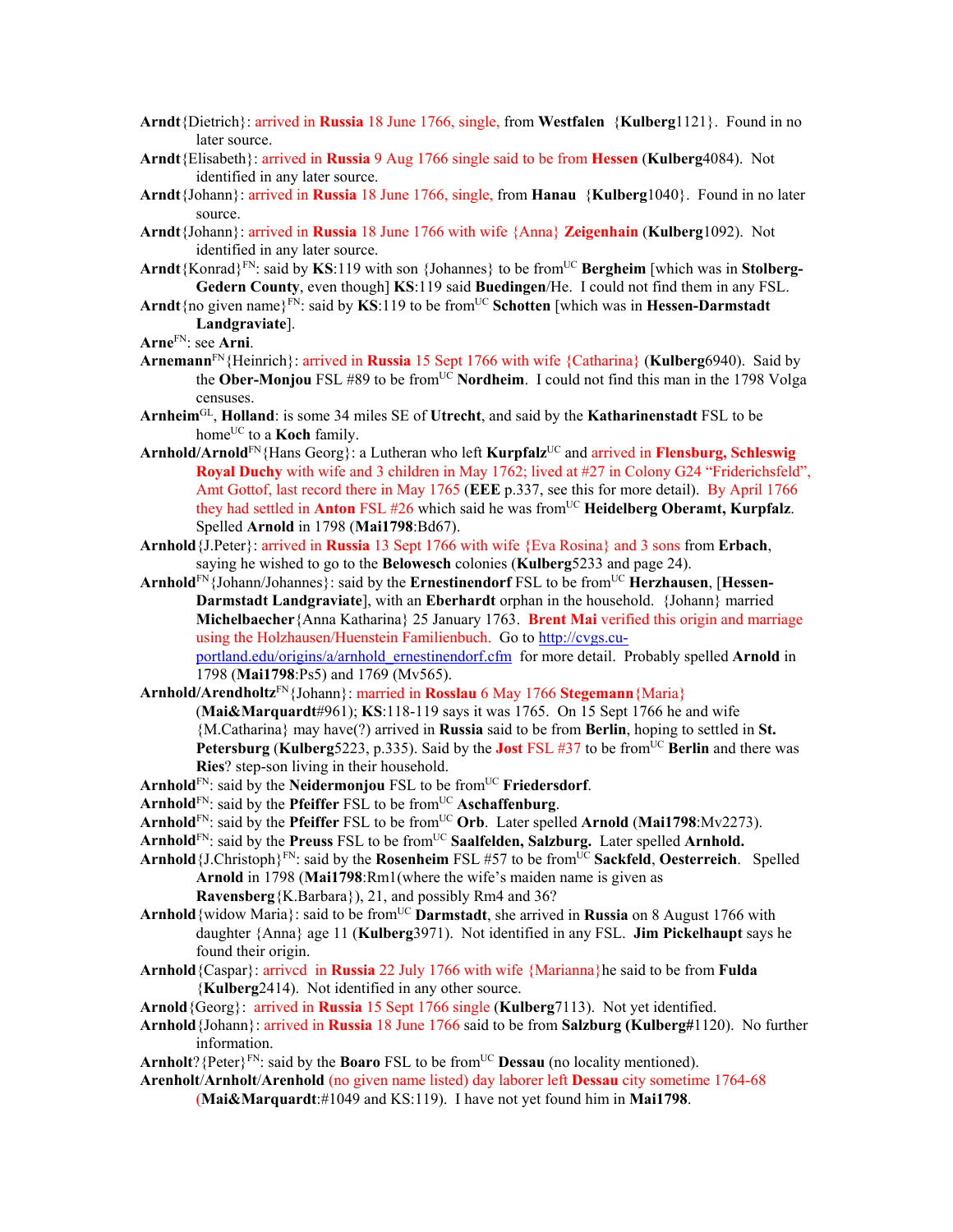- **Arndt**{Dietrich}: arrived in **Russia** 18 June 1766, single, from **Westfalen** {**Kulberg**1121}. Found in no later source.
- **Arndt**{Elisabeth}: arrived in **Russia** 9 Aug 1766 single said to be from **Hessen** (**Kulberg**4084). Not identified in any later source.
- **Arndt**{Johann}: arrived in **Russia** 18 June 1766, single, from **Hanau** {**Kulberg**1040}. Found in no later source.
- **Arndt**{Johann}: arrived in **Russia** 18 June 1766 with wife {Anna} **Zeigenhain** (**Kulberg**1092). Not identified in any later source.
- Arndt{Konrad}<sup>FN</sup>: said by KS:119 with son {Johannes} to be from<sup>UC</sup> Bergheim [which was in Stolberg-**Gedern County**, even though] **KS**:119 said **Buedingen**/He. I could not find them in any FSL.
- **Arndt**{no given name}<sup>FN</sup>: said by **KS**:119 to be from<sup>UC</sup> Schotten [which was in **Hessen-Darmstadt Landgraviate**].
- **Arne**FN: see **Arni**.
- **Arnemann**FN{Heinrich}: arrived in **Russia** 15 Sept 1766 with wife {Catharina} (**Kulberg**6940). Said by the **Ober-Monjou** FSL #89 to be from<sup>UC</sup> **Nordheim**. I could not find this man in the 1798 Volga censuses.
- **Arnheim**GL, **Holland**: is some 34 miles SE of **Utrecht**, and said by the **Katharinenstadt** FSL to be home<sup>UC</sup> to a **Koch** family.
- **Arnhold/Arnold**FN{Hans Georg}: a Lutheran who left **Kurpfalz**UC and arrived in **Flensburg, Schleswig Royal Duchy** with wife and 3 children in May 1762; lived at #27 in Colony G24 "Friderichsfeld", Amt Gottof, last record there in May 1765 (**EEE** p.337, see this for more detail). By April 1766 they had settled in **Anton** FSL #26 which said he was fromUC **Heidelberg Oberamt, Kurpfalz**. Spelled **Arnold** in 1798 (**Mai1798**:Bd67).
- **Arnhold**{J.Peter}: arrived in **Russia** 13 Sept 1766 with wife {Eva Rosina} and 3 sons from **Erbach**, saying he wished to go to the **Belowesch** colonies (**Kulberg**5233 and page 24).
- Arnhold<sup>FN</sup>{Johann/Johannes}: said by the **Ernestinendorf** FSL to be from<sup>UC</sup> **Herzhausen**, [**Hessen-Darmstadt Landgraviate**], with an **Eberhardt** orphan in the household. {Johann} married **Michelbaecher**{Anna Katharina} 25 January 1763. **Brent Mai** verified this origin and marriage using the Holzhausen/Huenstein Familienbuch. Go to http://cvgs.cuportland.edu/origins/a/arnhold\_ernestinendorf.cfm for more detail. Probably spelled **Arnold** in 1798 (**Mai1798**:Ps5) and 1769 (Mv565).
- **Arnhold/Arendholtz**FN{Johann}: married in **Rosslau** 6 May 1766 **Stegemann**{Maria}
	- (**Mai&Marquardt**#961); **KS**:118-119 says it was 1765. On 15 Sept 1766 he and wife {M.Catharina} may have(?) arrived in **Russia** said to be from **Berlin**, hoping to settled in **St. Petersburg (Kulberg**5223, p.335). Said by the **Jost** FSL #37 to be from<sup>UC</sup> Berlin and there was **Ries**? step-son living in their household.
- Arnhold<sup>FN</sup>: said by the **Neidermonjou** FSL to be from<sup>UC</sup> **Friedersdorf**.
- **Arnhold**<sup>FN</sup>: said by the **Pfeiffer** FSL to be from<sup>UC</sup> **Aschaffenburg**.
- Arnhold<sup>FN</sup>: said by the **Pfeiffer** FSL to be from<sup>UC</sup> Orb. Later spelled **Arnold (Mai1798**:Mv2273).
- Arnhold<sup>FN</sup>: said by the **Preuss** FSL to be from<sup>UC</sup> Saalfelden, Salzburg. Later spelled Arnhold.
- **Arnhold** ${J.Christoph}^{FN}$ : said by the **Rosenheim** FSL #57 to be from<sup>UC</sup> **Sackfeld**, **Oesterreich**. Spelled **Arnold** in 1798 (**Mai1798**:Rm1(where the wife's maiden name is given as **Ravensberg**{K.Barbara}), 21, and possibly Rm4 and 36?
- **Arnhold** {widow Maria}: said to be from<sup>UC</sup> **Darmstadt**, she arrived in **Russia** on 8 August 1766 with daughter {Anna} age 11 (**Kulberg**3971). Not identified in any FSL. **Jim Pickelhaupt** says he found their origin.
- **Arnhold**{Caspar}: arrivcd in **Russia** 22 July 1766 with wife {Marianna}he said to be from **Fulda**  {**Kulberg**2414). Not identified in any other source.
- **Arnold**{Georg}: arrived in **Russia** 15 Sept 1766 single (**Kulberg**7113). Not yet identified.
- **Arnhold**{Johann}: arrived in **Russia** 18 June 1766 said to be from **Salzburg (Kulberg#**1120). No further information.
- **Arnholt**? {Peter}<sup>FN</sup>: said by the **Boaro** FSL to be from<sup>UC</sup> **Dessau** (no locality mentioned).
- **Arenholt**/**Arnholt**/**Arenhold** (no given name listed) day laborer left **Dessau** city sometime 1764-68 (**Mai&Marquardt**:#1049 and KS:119). I have not yet found him in **Mai1798**.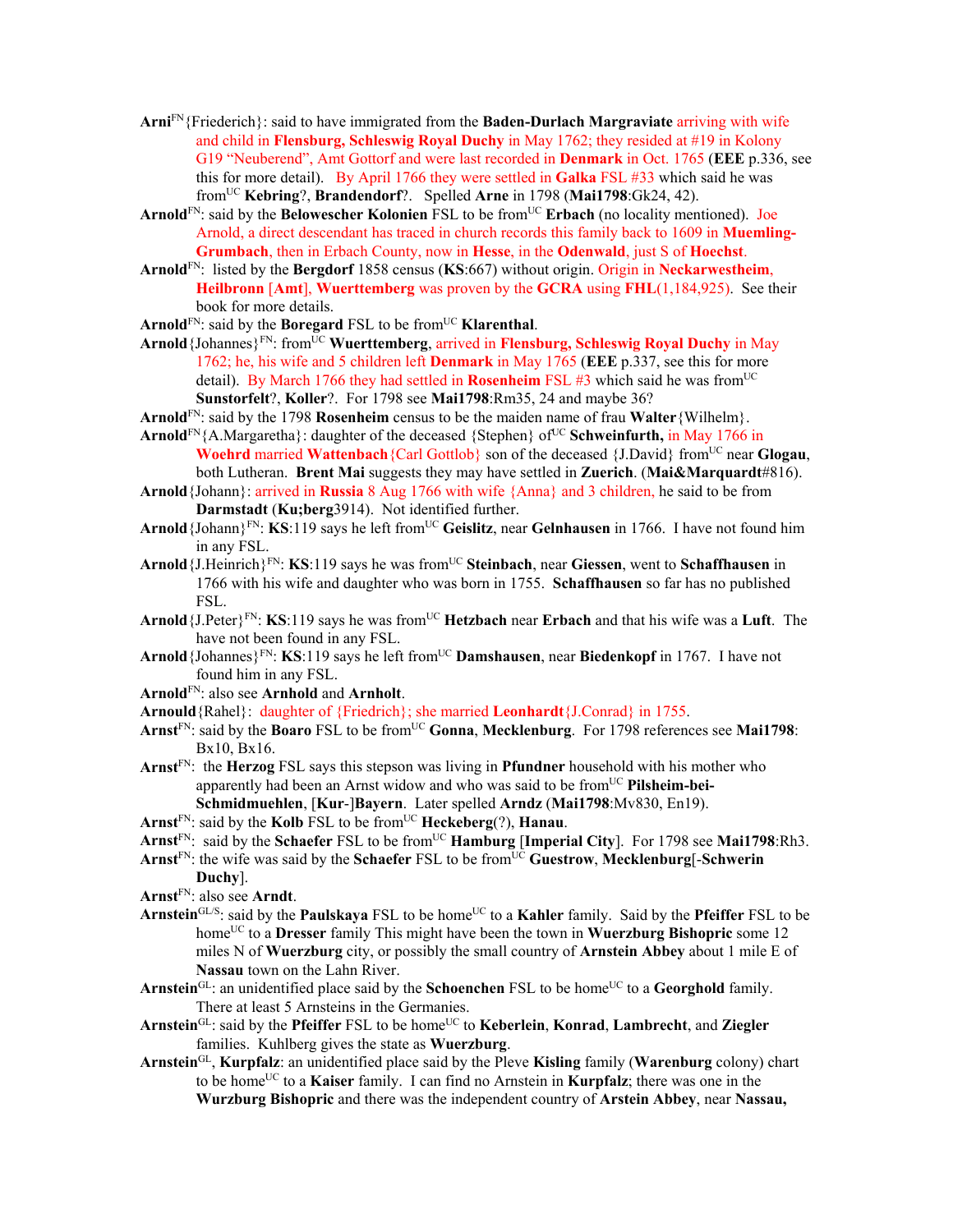- **Arni**FN{Friederich}: said to have immigrated from the **Baden-Durlach Margraviate** arriving with wife and child in **Flensburg, Schleswig Royal Duchy** in May 1762; they resided at #19 in Kolony G19 "Neuberend", Amt Gottorf and were last recorded in **Denmark** in Oct. 1765 (**EEE** p.336, see this for more detail). By April 1766 they were settled in **Galka** FSL #33 which said he was fromUC **Kebring**?, **Brandendorf**?. Spelled **Arne** in 1798 (**Mai1798**:Gk24, 42).
- Arnold<sup>FN</sup>: said by the Belowescher Kolonien FSL to be from<sup>UC</sup> Erbach (no locality mentioned). Joe Arnold, a direct descendant has traced in church records this family back to 1609 in **Muemling-Grumbach**, then in Erbach County, now in **Hesse**, in the **Odenwald**, just S of **Hoechst**.
- **Arnold**FN: listed by the **Bergdorf** 1858 census (**KS**:667) without origin. Origin in **Neckarwestheim**, **Heilbronn** [**Amt**], **Wuerttemberg** was proven by the **GCRA** using **FHL**(1,184,925). See their book for more details.
- Arnold<sup>FN</sup>: said by the **Boregard** FSL to be from<sup>UC</sup> **Klarenthal**.
- Arnold {Johannes}<sup>FN</sup>: from<sup>UC</sup> Wuerttemberg, arrived in **Flensburg, Schleswig Royal Duchy** in May 1762; he, his wife and 5 children left **Denmark** in May 1765 (**EEE** p.337, see this for more detail). By March 1766 they had settled in **Rosenheim** FSL  $\#3$  which said he was from<sup>UC</sup> **Sunstorfelt**?, **Koller**?. For 1798 see **Mai1798**:Rm35, 24 and maybe 36?
- **Arnold**FN: said by the 1798 **Rosenheim** census to be the maiden name of frau **Walter**{Wilhelm}.
- Arnold<sup>FN</sup>{A.Margaretha}: daughter of the deceased {Stephen} of<sup>UC</sup> Schweinfurth, in May 1766 in **Woehrd** married **Wattenbach** {Carl Gottlob} son of the deceased {J.David} from<sup>UC</sup> near **Glogau**, both Lutheran. **Brent Mai** suggests they may have settled in **Zuerich**. (**Mai&Marquardt**#816).
- **Arnold**{Johann}: arrived in **Russia** 8 Aug 1766 with wife {Anna} and 3 children, he said to be from **Darmstadt** (**Ku;berg**3914). Not identified further.
- **Arnold**{Johann}FN: **KS**:119 says he left fromUC **Geislitz**, near **Gelnhausen** in 1766. I have not found him in any FSL.
- **Arnold**{J.Heinrich}FN: **KS**:119 says he was fromUC **Steinbach**, near **Giessen**, went to **Schaffhausen** in 1766 with his wife and daughter who was born in 1755. **Schaffhausen** so far has no published FSL.
- **Arnold**{J.Peter}FN: **KS**:119 says he was fromUC **Hetzbach** near **Erbach** and that his wife was a **Luft**. The have not been found in any FSL.
- **Arnold**{Johannes}FN: **KS**:119 says he left fromUC **Damshausen**, near **Biedenkopf** in 1767. I have not found him in any FSL.
- **Arnold**FN: also see **Arnhold** and **Arnholt**.
- **Arnould**{Rahel}: daughter of {Friedrich}; she married **Leonhardt**{J.Conrad} in 1755.
- **Arnst**FN: said by the **Boaro** FSL to be fromUC **Gonna**, **Mecklenburg**. For 1798 references see **Mai1798**: Bx10, Bx16.
- **Arnst**FN: the **Herzog** FSL says this stepson was living in **Pfundner** household with his mother who apparently had been an Arnst widow and who was said to be from<sup>UC</sup> Pilsheim-bei-**Schmidmuehlen**, [**Kur**-]**Bayern**. Later spelled **Arndz** (**Mai1798**:Mv830, En19).
- **Arnst**FN: said by the **Kolb** FSL to be fromUC **Heckeberg**(?), **Hanau**.
- Arnst<sup>FN</sup>: said by the **Schaefer** FSL to be from<sup>UC</sup> **Hamburg** [Imperial City]. For 1798 see Mai1798:Rh3.
- **Arnst**FN: the wife was said by the **Schaefer** FSL to be fromUC **Guestrow**, **Mecklenburg**[-**Schwerin** 
	- **Duchy**].
- **Arnst**FN: also see **Arndt**.
- Arnstein<sup>GL/S</sup>: said by the **Paulskaya** FSL to be home<sup>UC</sup> to a **Kahler** family. Said by the **Pfeiffer** FSL to be homeUC to a **Dresser** family This might have been the town in **Wuerzburg Bishopric** some 12 miles N of **Wuerzburg** city, or possibly the small country of **Arnstein Abbey** about 1 mile E of **Nassau** town on the Lahn River.
- Arnstein<sup>GL</sup>: an unidentified place said by the **Schoenchen** FSL to be home<sup>UC</sup> to a **Georghold** family. There at least 5 Arnsteins in the Germanies.
- **Arnstein**GL: said by the **Pfeiffer** FSL to be homeUC to **Keberlein**, **Konrad**, **Lambrecht**, and **Ziegler** families. Kuhlberg gives the state as **Wuerzburg**.
- **Arnstein**GL, **Kurpfalz**: an unidentified place said by the Pleve **Kisling** family (**Warenburg** colony) chart to be homeUC to a **Kaiser** family. I can find no Arnstein in **Kurpfalz**; there was one in the **Wurzburg Bishopric** and there was the independent country of **Arstein Abbey**, near **Nassau,**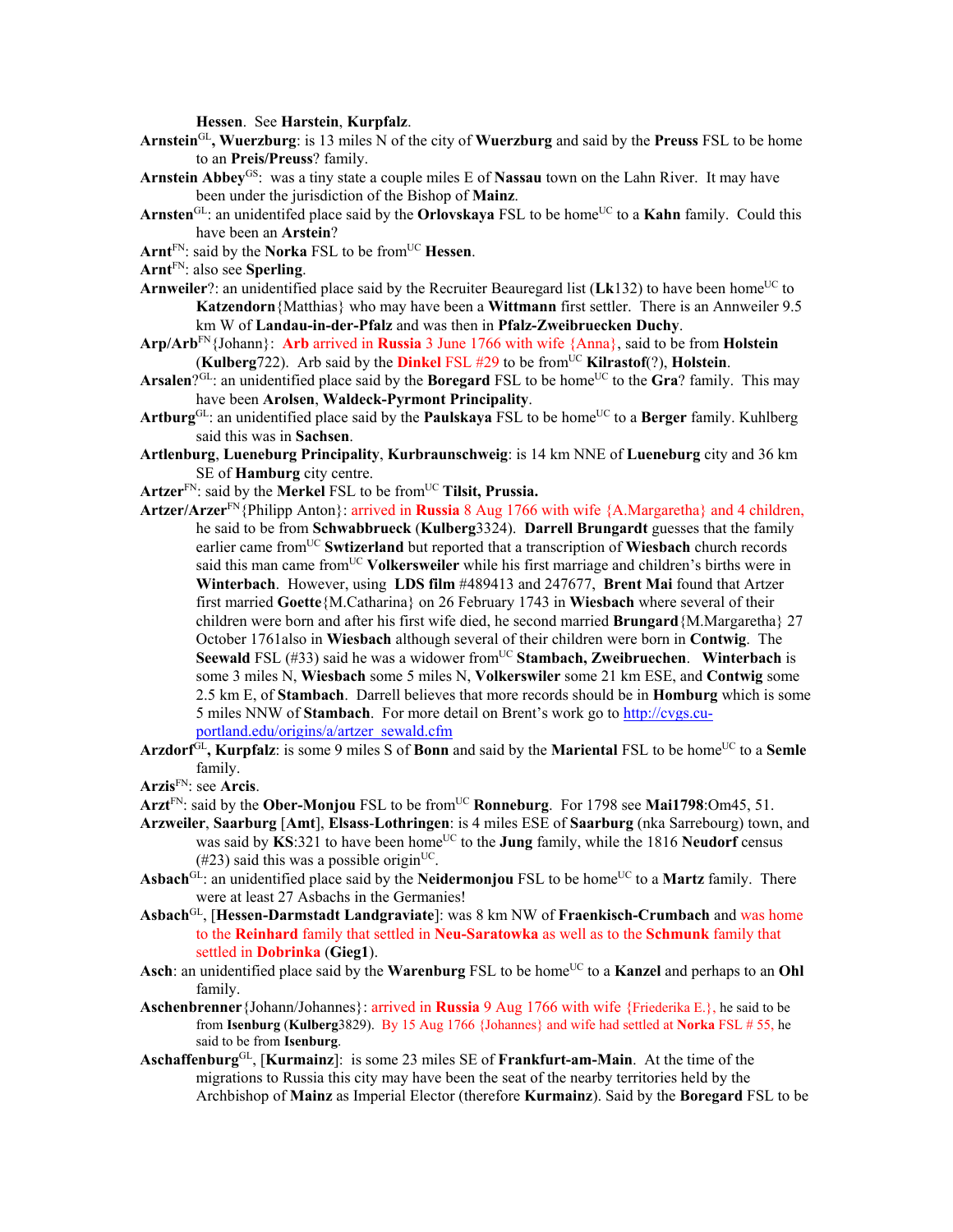**Hessen**. See **Harstein**, **Kurpfalz**.

- **Arnstein**GL**, Wuerzburg**: is 13 miles N of the city of **Wuerzburg** and said by the **Preuss** FSL to be home to an **Preis/Preuss**? family.
- **Arnstein Abbey**GS: was a tiny state a couple miles E of **Nassau** town on the Lahn River. It may have been under the jurisdiction of the Bishop of **Mainz**.
- Arnsten<sup>GL</sup>: an unidentifed place said by the **Orlovskaya** FSL to be home<sup>UC</sup> to a **Kahn** family. Could this have been an **Arstein**?
- Arnt<sup>FN</sup>: said by the **Norka** FSL to be from<sup>UC</sup> **Hessen**.
- **Arnt**FN: also see **Sperling**.
- **Arnweiler**?: an unidentified place said by the Recruiter Beauregard list ( $Lk132$ ) to have been home<sup>UC</sup> to **Katzendorn**{Matthias} who may have been a **Wittmann** first settler. There is an Annweiler 9.5 km W of **Landau-in-der-Pfalz** and was then in **Pfalz-Zweibruecken Duchy**.
- **Arp/Arb**FN{Johann}: **Arb** arrived in **Russia** 3 June 1766 with wife {Anna}, said to be from **Holstein** (**Kulberg**722). Arb said by the **Dinkel** FSL #29 to be from<sup>UC</sup> **Kilrastof**(?), **Holstein**.
- **Arsalen**? $G<sup>GL</sup>$ : an unidentified place said by the **Boregard** FSL to be home<sup>UC</sup> to the **Gra**? family. This may have been **Arolsen**, **Waldeck-Pyrmont Principality**.
- Artburg<sup>GL</sup>: an unidentified place said by the **Paulskaya** FSL to be home<sup>UC</sup> to a **Berger** family. Kuhlberg said this was in **Sachsen**.
- **Artlenburg**, **Lueneburg Principality**, **Kurbraunschweig**: is 14 km NNE of **Lueneburg** city and 36 km SE of **Hamburg** city centre.
- **Artzer**FN: said by the **Merkel** FSL to be fromUC **Tilsit, Prussia.**
- **Artzer/Arzer**FN{Philipp Anton}: arrived in **Russia** 8 Aug 1766 with wife {A.Margaretha} and 4 children, he said to be from **Schwabbrueck** (**Kulberg**3324). **Darrell Brungardt** guesses that the family earlier came fromUC **Swtizerland** but reported that a transcription of **Wiesbach** church records said this man came from<sup>UC</sup> Volkersweiler while his first marriage and children's births were in **Winterbach**. However, using **LDS film** #489413 and 247677, **Brent Mai** found that Artzer first married **Goette**{M.Catharina} on 26 February 1743 in **Wiesbach** where several of their children were born and after his first wife died, he second married **Brungard**{M.Margaretha} 27 October 1761also in **Wiesbach** although several of their children were born in **Contwig**. The **Seewald** FSL (#33) said he was a widower from<sup>UC</sup> Stambach, Zweibruechen. Winterbach is some 3 miles N, **Wiesbach** some 5 miles N, **Volkerswiler** some 21 km ESE, and **Contwig** some 2.5 km E, of **Stambach**. Darrell believes that more records should be in **Homburg** which is some 5 miles NNW of **Stambach**. For more detail on Brent's work go to http://cvgs.cuportland.edu/origins/a/artzer\_sewald.cfm
- Arzdorf<sup>GL</sup>, Kurpfalz: is some 9 miles S of **Bonn** and said by the Mariental FSL to be home<sup>UC</sup> to a Semle family.
- **Arzis**FN: see **Arcis**.
- Arzt<sup>FN</sup>: said by the **Ober-Monjou** FSL to be from<sup>UC</sup> **Ronneburg**. For 1798 see Mai1798:Om45, 51.
- **Arzweiler**, **Saarburg** [**Amt**], **Elsass**-**Lothringen**: is 4 miles ESE of **Saarburg** (nka Sarrebourg) town, and was said by  $\mathbf{K}S:321$  to have been home<sup>UC</sup> to the **Jung** family, while the 1816 **Neudorf** census  $(\text{\#23})$  said this was a possible origin<sup>UC</sup>.
- Asbach<sup>GL</sup>: an unidentified place said by the **Neidermonjou** FSL to be home<sup>UC</sup> to a **Martz** family. There were at least 27 Asbachs in the Germanies!
- **Asbach**GL, [**Hessen-Darmstadt Landgraviate**]: was 8 km NW of **Fraenkisch-Crumbach** and was home to the **Reinhard** family that settled in **Neu-Saratowka** as well as to the **Schmunk** family that settled in **Dobrinka** (**Gieg1**).
- Asch: an unidentified place said by the **Warenburg** FSL to be home<sup>UC</sup> to a **Kanzel** and perhaps to an **Ohl** family.
- **Aschenbrenner**{Johann/Johannes}: arrived in **Russia** 9 Aug 1766 with wife {Friederika E.}, he said to be from **Isenburg** (**Kulberg**3829). By 15 Aug 1766 {Johannes} and wife had settled at **Norka** FSL # 55, he said to be from **Isenburg**.
- **Aschaffenburg**GL, [**Kurmainz**]: is some 23 miles SE of **Frankfurt-am-Main**. At the time of the migrations to Russia this city may have been the seat of the nearby territories held by the Archbishop of **Mainz** as Imperial Elector (therefore **Kurmainz**). Said by the **Boregard** FSL to be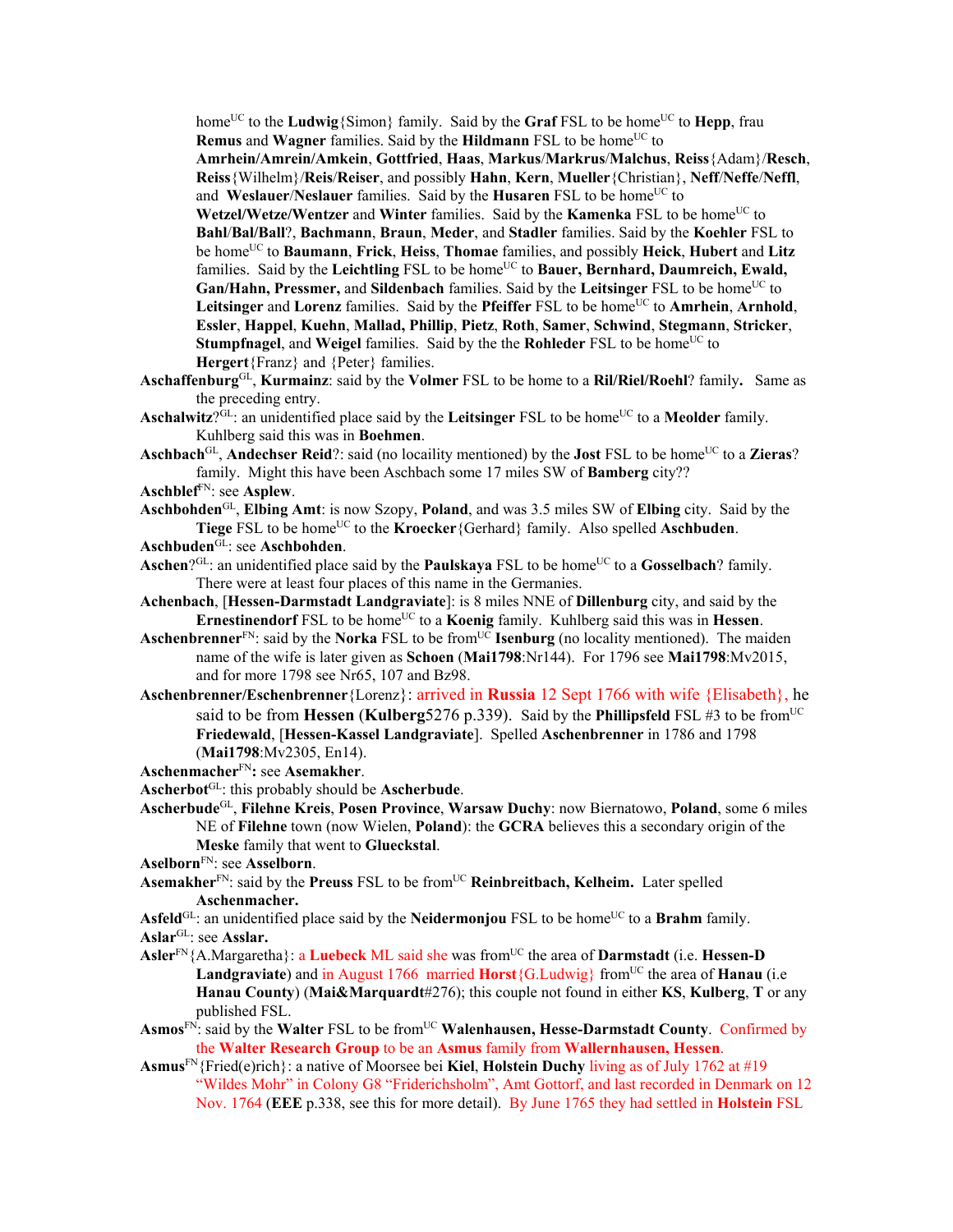home<sup>UC</sup> to the **Ludwig**{Simon} family. Said by the **Graf** FSL to be home<sup>UC</sup> to **Hepp**, frau **Remus** and **Wagner** families. Said by the **Hildmann** FSL to be home<sup>UC</sup> to **Amrhein/Amrein/Amkein**, **Gottfried**, **Haas**, **Markus**/**Markrus**/**Malchus**, **Reiss**{Adam}/**Resch**, **Reiss**{Wilhelm}/**Reis**/**Reiser**, and possibly **Hahn**, **Kern**, **Mueller**{Christian}, **Neff**/**Neffe**/**Neffl**, and **Weslauer/Neslauer** families. Said by the **Husaren** FSL to be home<sup>UC</sup> to **Wetzel/Wetze/Wentzer** and **Winter** families. Said by the **Kamenka** FSL to be home<sup>UC</sup> to **Bahl**/**Bal/Ball**?, **Bachmann**, **Braun**, **Meder**, and **Stadler** families. Said by the **Koehler** FSL to be homeUC to **Baumann**, **Frick**, **Heiss**, **Thomae** families, and possibly **Heick**, **Hubert** and **Litz** families. Said by the Leichtling FSL to be home<sup>UC</sup> to Bauer, Bernhard, Daumreich, Ewald, **Gan/Hahn, Pressmer, and Sildenbach** families. Said by the **Leitsinger** FSL to be home<sup>UC</sup> to Leitsinger and Lorenz families. Said by the Pfeiffer FSL to be home<sup>UC</sup> to Amrhein, Arnhold, **Essler**, **Happel**, **Kuehn**, **Mallad, Phillip**, **Pietz**, **Roth**, **Samer**, **Schwind**, **Stegmann**, **Stricker**, **Stumpfnagel**, and **Weigel** families. Said by the the **Rohleder** FSL to be home<sup>UC</sup> to **Hergert**{Franz} and {Peter} families.

- **Aschaffenburg**GL, **Kurmainz**: said by the **Volmer** FSL to be home to a **Ril/Riel/Roehl**? family**.** Same as the preceding entry.
- Aschalwitz<sup>?GL</sup>: an unidentified place said by the Leitsinger FSL to be home<sup>UC</sup> to a Meolder family. Kuhlberg said this was in **Boehmen**.
- Aschbach<sup>GL</sup>, Andechser Reid?: said (no locaility mentioned) by the **Jost** FSL to be home<sup>UC</sup> to a Zieras? family. Might this have been Aschbach some 17 miles SW of **Bamberg** city??
- **Aschblef**FN: see **Asplew**.
- **Aschbohden**GL, **Elbing Amt**: is now Szopy, **Poland**, and was 3.5 miles SW of **Elbing** city. Said by the Tiege FSL to be home<sup>UC</sup> to the **Kroecker**{Gerhard} family. Also spelled **Aschbuden**.
- **Aschbuden**GL: see **Aschbohden**.
- Aschen?<sup>GL</sup>: an unidentified place said by the **Paulskaya** FSL to be home<sup>UC</sup> to a **Gosselbach**? family. There were at least four places of this name in the Germanies.
- **Achenbach**, [**Hessen-Darmstadt Landgraviate**]: is 8 miles NNE of **Dillenburg** city, and said by the **Ernestinendorf** FSL to be home<sup>UC</sup> to a **Koenig** family. Kuhlberg said this was in **Hessen**.
- **Aschenbrenner**<sup>FN</sup>: said by the **Norka** FSL to be from<sup>UC</sup> **Isenburg** (no locality mentioned). The maiden name of the wife is later given as **Schoen** (**Mai1798**:Nr144). For 1796 see **Mai1798**:Mv2015, and for more 1798 see Nr65, 107 and Bz98.
- **Aschenbrenner/Eschenbrenner**{Lorenz}: arrived in **Russia** 12 Sept 1766 with wife {Elisabeth}, he said to be from **Hessen (Kulberg**5276 p.339). Said by the **Phillipsfeld** FSL #3 to be from<sup>UC</sup> **Friedewald**, [**Hessen-Kassel Landgraviate**]. Spelled **Aschenbrenner** in 1786 and 1798 (**Mai1798**:Mv2305, En14).
- **Aschenmacher**FN**:** see **Asemakher**.
- **Ascherbot**GL: this probably should be **Ascherbude**.
- **Ascherbude**GL, **Filehne Kreis**, **Posen Province**, **Warsaw Duchy**: now Biernatowo, **Poland**, some 6 miles NE of **Filehne** town (now Wielen, **Poland**): the **GCRA** believes this a secondary origin of the **Meske** family that went to **Glueckstal**.
- **Aselborn**FN: see **Asselborn**.
- Asemakher<sup>FN</sup>: said by the **Preuss** FSL to be from<sup>UC</sup> **Reinbreitbach, Kelheim.** Later spelled **Aschenmacher.**
- Asfeld<sup>GL</sup>: an unidentified place said by the **Neidermonjou** FSL to be home<sup>UC</sup> to a **Brahm** family. **Aslar**GL: see **Asslar.**
- **Asler**FN{A.Margaretha}: a **Luebeck** ML said she was fromUC the area of **Darmstadt** (i.e. **Hessen-D**  Landgraviate) and in August 1766 married **Horst**{G.Ludwig} from<sup>UC</sup> the area of **Hanau** (i.e **Hanau County**) (**Mai&Marquardt**#276); this couple not found in either **KS**, **Kulberg**, **T** or any published FSL.
- **Asmos**FN: said by the **Walter** FSL to be fromUC **Walenhausen, Hesse-Darmstadt County**. Confirmed by the **Walter Research Group** to be an **Asmus** family from **Wallernhausen, Hessen**.
- **Asmus**FN{Fried(e)rich}: a native of Moorsee bei **Kiel**, **Holstein Duchy** living as of July 1762 at #19 "Wildes Mohr" in Colony G8 "Friderichsholm", Amt Gottorf, and last recorded in Denmark on 12 Nov. 1764 (**EEE** p.338, see this for more detail). By June 1765 they had settled in **Holstein** FSL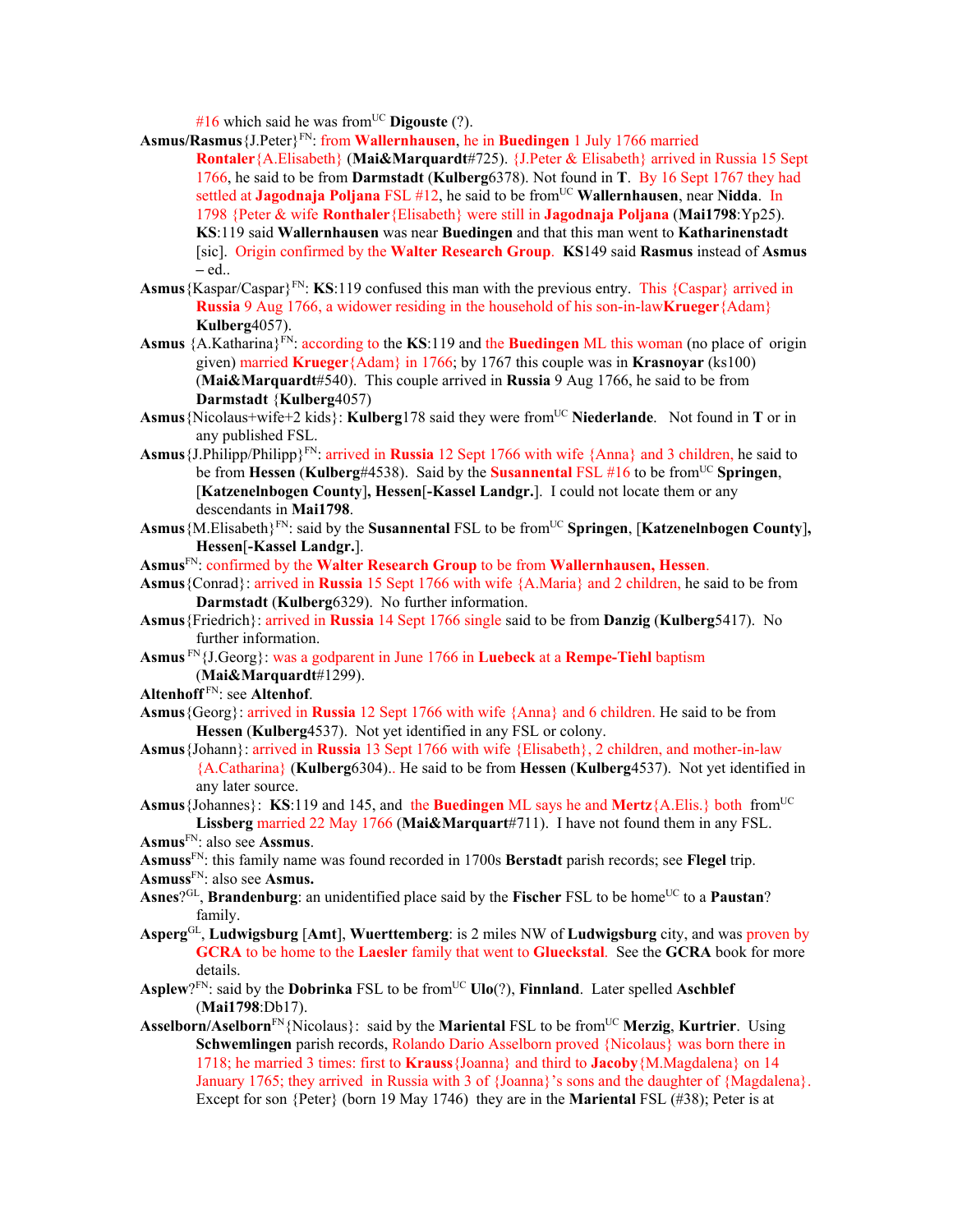$#16$  which said he was from<sup>UC</sup> **Digouste** (?).

- **Asmus/Rasmus**{J.Peter}FN: from **Wallernhausen**, he in **Buedingen** 1 July 1766 married
	- **Rontaler**{A.Elisabeth} (**Mai&Marquardt**#725). {J.Peter & Elisabeth} arrived in Russia 15 Sept 1766, he said to be from **Darmstadt** (**Kulberg**6378). Not found in **T**. By 16 Sept 1767 they had settled at **Jagodnaja Poljana** FSL #12, he said to be fromUC **Wallernhausen**, near **Nidda**. In 1798 {Peter & wife **Ronthaler**{Elisabeth} were still in **Jagodnaja Poljana** (**Mai1798**:Yp25). **KS**:119 said **Wallernhausen** was near **Buedingen** and that this man went to **Katharinenstadt** [sic]. Origin confirmed by the **Walter Research Group**. **KS**149 said **Rasmus** instead of **Asmus –** ed..
- **Asmus** {Kaspar/Caspar}<sup>FN</sup>: **KS**:119 confused this man with the previous entry. This {Caspar} arrived in **Russia** 9 Aug 1766, a widower residing in the household of his son-in-law**Krueger**{Adam} **Kulberg**4057).
- Asmus {A.Katharina}<sup>FN</sup>: according to the **KS**:119 and the **Buedingen** ML this woman (no place of origin given) married **Krueger**{Adam} in 1766; by 1767 this couple was in **Krasnoyar** (ks100) (**Mai&Marquardt**#540). This couple arrived in **Russia** 9 Aug 1766, he said to be from **Darmstadt** {**Kulberg**4057)
- **Asmus**{Nicolaus+wife+2 kids}: **Kulberg**178 said they were fromUC **Niederlande**. Not found in **T** or in any published FSL.
- **Asmus**{J.Philipp/Philipp}FN: arrived in **Russia** 12 Sept 1766 with wife {Anna} and 3 children, he said to be from **Hessen** (**Kulberg**#4538). Said by the **Susannental** FSL #16 to be fromUC **Springen**, [**Katzenelnbogen County**]**, Hessen**[**-Kassel Landgr.**]. I could not locate them or any descendants in **Mai1798**.
- Asmus {M.Elisabeth}<sup>FN</sup>: said by the **Susannental** FSL to be from<sup>UC</sup> **Springen**, [**Katzenelnbogen County**], **Hessen**[**-Kassel Landgr.**].
- **Asmus**FN: confirmed by the **Walter Research Group** to be from **Wallernhausen, Hessen**.
- **Asmus**{Conrad}: arrived in **Russia** 15 Sept 1766 with wife {A.Maria} and 2 children, he said to be from **Darmstadt** (**Kulberg**6329). No further information.
- **Asmus**{Friedrich}: arrived in **Russia** 14 Sept 1766 single said to be from **Danzig** (**Kulberg**5417). No further information.
- **Asmus** FN{J.Georg}: was a godparent in June 1766 in **Luebeck** at a **Rempe-Tiehl** baptism (**Mai&Marquardt**#1299).
- **Altenhoff** FN: see **Altenhof**.
- **Asmus**{Georg}: arrived in **Russia** 12 Sept 1766 with wife {Anna} and 6 children. He said to be from **Hessen** (**Kulberg**4537). Not yet identified in any FSL or colony.
- **Asmus**{Johann}: arrived in **Russia** 13 Sept 1766 with wife {Elisabeth}, 2 children, and mother-in-law {A.Catharina} (**Kulberg**6304).. He said to be from **Hessen** (**Kulberg**4537). Not yet identified in any later source.
- **Asmus**{Johannes}: **KS**:119 and 145, and the **Buedingen** ML says he and **Mertz**{A.Elis.} both fromUC **Lissberg** married 22 May 1766 (**Mai&Marquart**#711). I have not found them in any FSL.

**Asmuss**FN: this family name was found recorded in 1700s **Berstadt** parish records; see **Flegel** trip.

**Asmuss**FN: also see **Asmus.** 

- Asnes<sup>?GL</sup>, **Brandenburg**: an unidentified place said by the **Fischer** FSL to be home<sup>UC</sup> to a **Paustan**? family.
- **Asperg**GL, **Ludwigsburg** [**Amt**], **Wuerttemberg**: is 2 miles NW of **Ludwigsburg** city, and was proven by **GCRA** to be home to the **Laesler** family that went to **Glueckstal**. See the **GCRA** book for more details.
- Asplew?<sup>FN</sup>: said by the **Dobrinka** FSL to be from<sup>UC</sup> **Ulo**(?), **Finnland**. Later spelled **Aschblef** (**Mai1798**:Db17).
- **Asselborn/Aselborn**<sup>FN</sup>{Nicolaus}: said by the **Mariental** FSL to be from<sup>UC</sup> **Merzig**, **Kurtrier**. Using **Schwemlingen** parish records, Rolando Dario Asselborn proved {Nicolaus} was born there in 1718; he married 3 times: first to **Krauss**{Joanna} and third to **Jacoby**{M.Magdalena} on 14 January 1765; they arrived in Russia with 3 of {Joanna}'s sons and the daughter of {Magdalena}. Except for son {Peter} (born 19 May 1746) they are in the **Mariental** FSL (#38); Peter is at

**Asmus**FN: also see **Assmus**.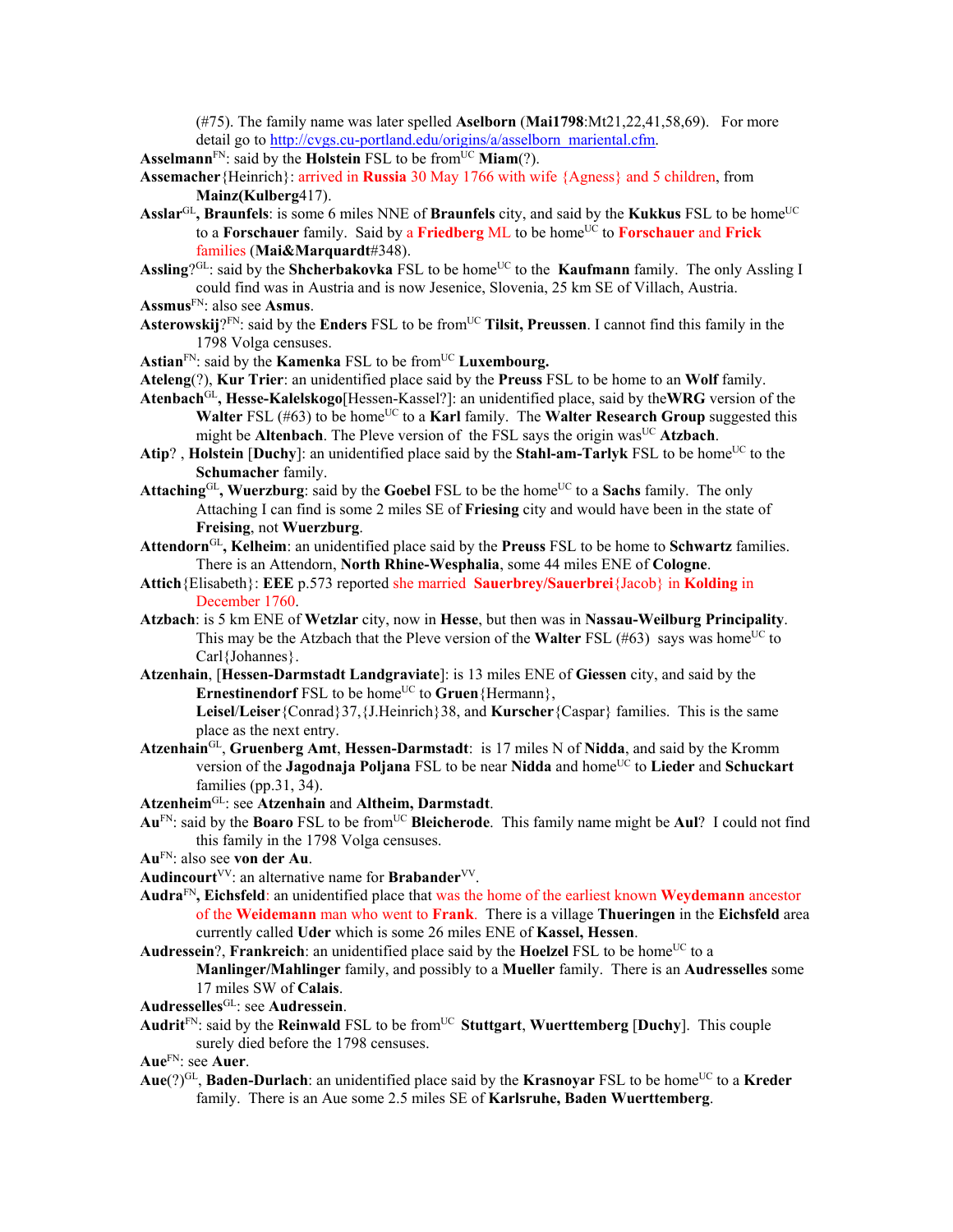(#75). The family name was later spelled **Aselborn** (**Mai1798**:Mt21,22,41,58,69). For more detail go to http://cvgs.cu-portland.edu/origins/a/asselborn\_mariental.cfm.

Asselmann<sup>FN</sup>: said by the **Holstein** FSL to be from<sup>UC</sup> **Miam**(?).

- **Assemacher**{Heinrich}: arrived in **Russia** 30 May 1766 with wife {Agness} and 5 children, from **Mainz(Kulberg**417).
- Asslar<sup>GL</sup>, Braunfels: is some 6 miles NNE of Braunfels city, and said by the Kukkus FSL to be home<sup>UC</sup> to a **Forschauer** family. Said by a **Friedberg** ML to be home<sup>UC</sup> to **Forschauer** and **Frick** families (**Mai&Marquardt**#348).
- Assling?<sup>GL</sup>: said by the **Shcherbakovka** FSL to be home<sup>UC</sup> to the **Kaufmann** family. The only Assling I could find was in Austria and is now Jesenice, Slovenia, 25 km SE of Villach, Austria.
- **Assmus**FN: also see **Asmus**.
- **Asterowskij**? $FN$ : said by the **Enders** FSL to be from<sup>UC</sup> **Tilsit, Preussen**. I cannot find this family in the 1798 Volga censuses.
- Astian<sup>FN</sup>: said by the **Kamenka** FSL to be from<sup>UC</sup> Luxembourg.
- **Ateleng**(?), **Kur Trier**: an unidentified place said by the **Preuss** FSL to be home to an **Wolf** family.
- **Atenbach**GL**, Hesse-Kalelskogo**[Hessen-Kassel?]: an unidentified place, said by the**WRG** version of the **Walter** FSL (#63) to be home<sup>UC</sup> to a **Karl** family. The **Walter Research Group** suggested this might be **Altenbach**. The Pleve version of the FSL says the origin was<sup>UC</sup> **Atzbach**.
- Atip?, Holstein [Duchy]: an unidentified place said by the Stahl-am-Tarlyk FSL to be home<sup>UC</sup> to the **Schumacher** family.
- Attaching<sup>GL</sup>, Wuerzburg: said by the **Goebel** FSL to be the home<sup>UC</sup> to a **Sachs** family. The only Attaching I can find is some 2 miles SE of **Friesing** city and would have been in the state of **Freising**, not **Wuerzburg**.
- **Attendorn**GL**, Kelheim**: an unidentified place said by the **Preuss** FSL to be home to **Schwartz** families. There is an Attendorn, **North Rhine-Wesphalia**, some 44 miles ENE of **Cologne**.
- **Attich**{Elisabeth}: **EEE** p.573 reported she married **Sauerbrey/Sauerbrei**{Jacob} in **Kolding** in December 1760.
- **Atzbach**: is 5 km ENE of **Wetzlar** city, now in **Hesse**, but then was in **Nassau-Weilburg Principality**. This may be the Atzbach that the Pleve version of the **Walter** FSL (#63) says was home<sup>UC</sup> to Carl{Johannes}.
- **Atzenhain**, [**Hessen-Darmstadt Landgraviate**]: is 13 miles ENE of **Giessen** city, and said by the **Ernestinendorf** FSL to be home<sup>UC</sup> to **Gruen**{Hermann}, **Leisel**/**Leiser**{Conrad}37,{J.Heinrich}38, and **Kurscher**{Caspar} families. This is the same place as the next entry.
- **Atzenhain**GL, **Gruenberg Amt**, **Hessen-Darmstadt**: is 17 miles N of **Nidda**, and said by the Kromm version of the **Jagodnaja Poljana** FSL to be near **Nidda** and home<sup>UC</sup> to **Lieder** and **Schuckart** families (pp.31, 34).
- **Atzenheim**GL: see **Atzenhain** and **Altheim, Darmstadt**.
- **Au**FN: said by the **Boaro** FSL to be fromUC **Bleicherode**. This family name might be **Aul**? I could not find this family in the 1798 Volga censuses.
- **Au**FN: also see **von der Au**.
- **Audincourt**<sup>VV</sup>: an alternative name for **Brabander**<sup>VV</sup>.
- **Audra**FN**, Eichsfeld**: an unidentified place that was the home of the earliest known **Weydemann** ancestor of the **Weidemann** man who went to **Frank**. There is a village **Thueringen** in the **Eichsfeld** area currently called **Uder** which is some 26 miles ENE of **Kassel, Hessen**.
- Audressein?, Frankreich: an unidentified place said by the Hoelzel FSL to be home<sup>UC</sup> to a **Manlinger/Mahlinger** family, and possibly to a **Mueller** family. There is an **Audresselles** some 17 miles SW of **Calais**.

**Audresselles**GL: see **Audressein**.

Audrit<sup>FN</sup>: said by the **Reinwald** FSL to be from<sup>UC</sup> Stuttgart, Wuerttemberg [Duchy]. This couple surely died before the 1798 censuses.

**Aue**FN: see **Auer**.

**Aue**(?)<sup>GL</sup>, **Baden-Durlach**: an unidentified place said by the **Krasnovar** FSL to be home<sup>UC</sup> to a **Kreder** family. There is an Aue some 2.5 miles SE of **Karlsruhe, Baden Wuerttemberg**.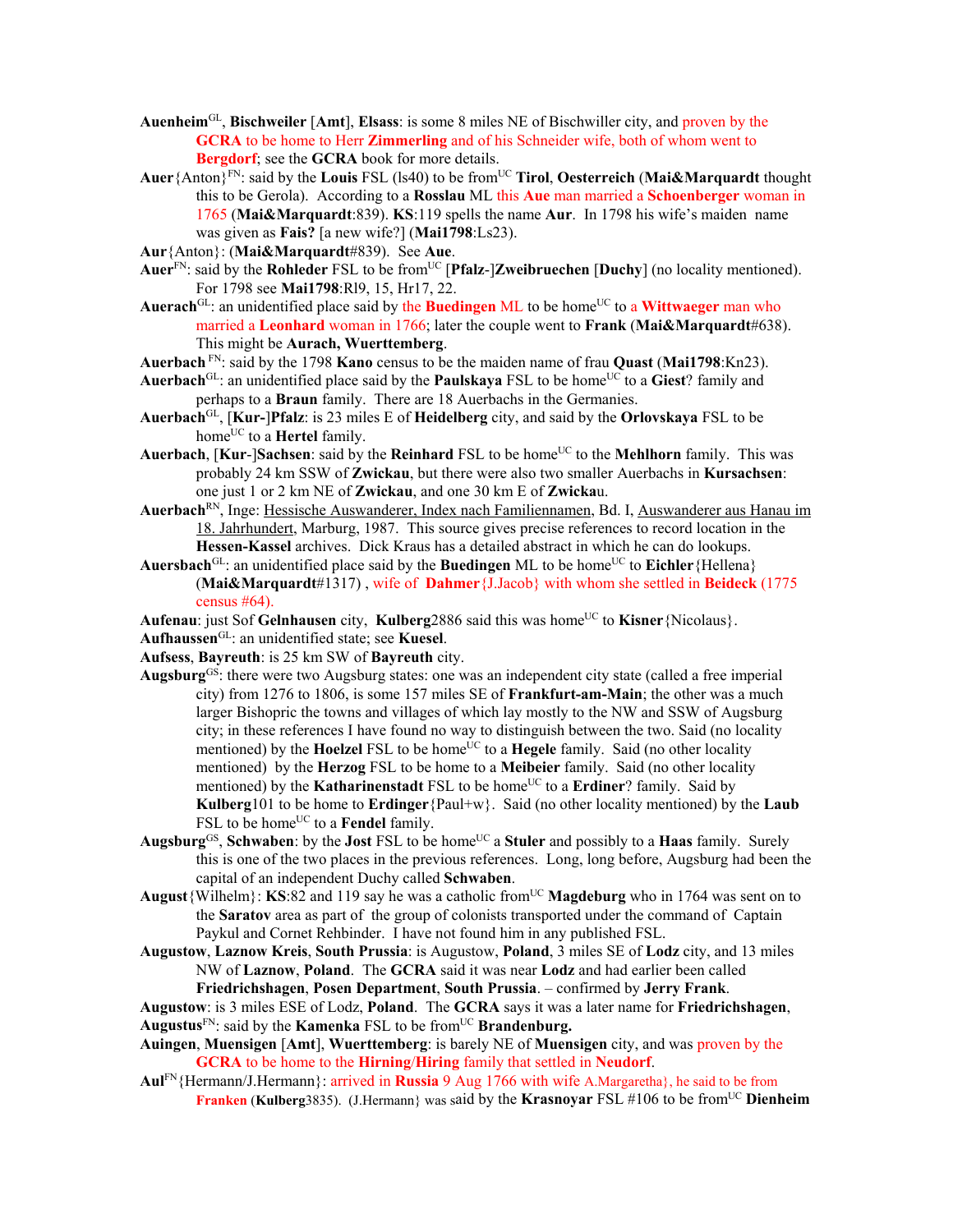- **Auenheim**GL, **Bischweiler** [**Amt**], **Elsass**: is some 8 miles NE of Bischwiller city, and proven by the **GCRA** to be home to Herr **Zimmerling** and of his Schneider wife, both of whom went to **Bergdorf**; see the **GCRA** book for more details.
- **Auer**{Anton}FN: said by the **Louis** FSL (ls40) to be fromUC **Tirol**, **Oesterreich** (**Mai&Marquardt** thought this to be Gerola). According to a **Rosslau** ML this **Aue** man married a **Schoenberger** woman in 1765 (**Mai&Marquardt**:839). **KS**:119 spells the name **Aur**. In 1798 his wife's maiden name was given as **Fais?** [a new wife?] (**Mai1798**:Ls23).
- **Aur**{Anton}: (**Mai&Marquardt**#839). See **Aue**.
- **Auer**FN: said by the **Rohleder** FSL to be fromUC [**Pfalz**-]**Zweibruechen** [**Duchy**] (no locality mentioned). For 1798 see **Mai1798**:Rl9, 15, Hr17, 22.
- **Auerach**<sup>GL</sup>: an unidentified place said by the **Buedingen** ML to be home<sup>UC</sup> to a **Wittwaeger** man who married a **Leonhard** woman in 1766; later the couple went to **Frank** (**Mai&Marquardt**#638). This might be **Aurach, Wuerttemberg**.

**Auerbach** FN: said by the 1798 **Kano** census to be the maiden name of frau **Quast** (**Mai1798**:Kn23).

- Auerbach<sup>GL</sup>: an unidentified place said by the **Paulskaya** FSL to be home<sup>UC</sup> to a Giest? family and perhaps to a **Braun** family. There are 18 Auerbachs in the Germanies.
- **Auerbach**GL, [**Kur-**]**Pfalz**: is 23 miles E of **Heidelberg** city, and said by the **Orlovskaya** FSL to be home<sup>UC</sup> to a **Hertel** family.
- **Auerbach, [Kur-]Sachsen:** said by the **Reinhard** FSL to be home<sup>UC</sup> to the **Mehlhorn** family. This was probably 24 km SSW of **Zwickau**, but there were also two smaller Auerbachs in **Kursachsen**: one just 1 or 2 km NE of **Zwickau**, and one 30 km E of **Zwicka**u.
- **Auerbach**RN, Inge: Hessische Auswanderer, Index nach Familiennamen, Bd. I, Auswanderer aus Hanau im 18. Jahrhundert, Marburg, 1987. This source gives precise references to record location in the **Hessen-Kassel** archives. Dick Kraus has a detailed abstract in which he can do lookups.
- Auersbach<sup>GL</sup>: an unidentified place said by the Buedingen ML to be home<sup>UC</sup> to Eichler {Hellena} (**Mai&Marquardt**#1317) , wife of **Dahmer**{J.Jacob} with whom she settled in **Beideck** (1775 census #64).
- Aufenau: just Sof **Gelnhausen** city, **Kulberg** 2886 said this was home<sup>UC</sup> to **Kisner** {Nicolaus}.
- **Aufhaussen**GL: an unidentified state; see **Kuesel**.
- **Aufsess**, **Bayreuth**: is 25 km SW of **Bayreuth** city.
- **Augsburg**GS: there were two Augsburg states: one was an independent city state (called a free imperial city) from 1276 to 1806, is some 157 miles SE of **Frankfurt-am-Main**; the other was a much larger Bishopric the towns and villages of which lay mostly to the NW and SSW of Augsburg city; in these references I have found no way to distinguish between the two. Said (no locality mentioned) by the **Hoelzel** FSL to be home<sup>UC</sup> to a **Hegele** family. Said (no other locality mentioned) by the **Herzog** FSL to be home to a **Meibeier** family. Said (no other locality mentioned) by the **Katharinenstadt** FSL to be home<sup>UC</sup> to a **Erdiner**? family. Said by **Kulberg**101 to be home to **Erdinger**{Paul+w}. Said (no other locality mentioned) by the **Laub** FSL to be home<sup>UC</sup> to a **Fendel** family.
- **Augsburg**<sup>GS</sup>, **Schwaben**: by the **Jost** FSL to be home<sup>UC</sup> a **Stuler** and possibly to a **Haas** family. Surely this is one of the two places in the previous references. Long, long before, Augsburg had been the capital of an independent Duchy called **Schwaben**.
- **August**{Wilhelm}: **KS**:82 and 119 say he was a catholic fromUC **Magdeburg** who in 1764 was sent on to the **Saratov** area as part of the group of colonists transported under the command of Captain Paykul and Cornet Rehbinder. I have not found him in any published FSL.
- **Augustow**, **Laznow Kreis**, **South Prussia**: is Augustow, **Poland**, 3 miles SE of **Lodz** city, and 13 miles NW of **Laznow**, **Poland**. The **GCRA** said it was near **Lodz** and had earlier been called **Friedrichshagen**, **Posen Department**, **South Prussia**. – confirmed by **Jerry Frank**.
- **Augustow**: is 3 miles ESE of Lodz, **Poland**. The **GCRA** says it was a later name for **Friedrichshagen**,
- Augustus<sup>FN</sup>: said by the **Kamenka** FSL to be from<sup>UC</sup> Brandenburg.
- **Auingen**, **Muensigen** [**Amt**], **Wuerttemberg**: is barely NE of **Muensigen** city, and was proven by the **GCRA** to be home to the **Hirning**/**Hiring** family that settled in **Neudorf**.
- **Aul**FN{Hermann/J.Hermann}: arrived in **Russia** 9 Aug 1766 with wife A.Margaretha}, he said to be from **Franken (Kulberg**3835). (J.Hermann} was said by the **Krasnovar** FSL #106 to be from<sup>UC</sup> Dienheim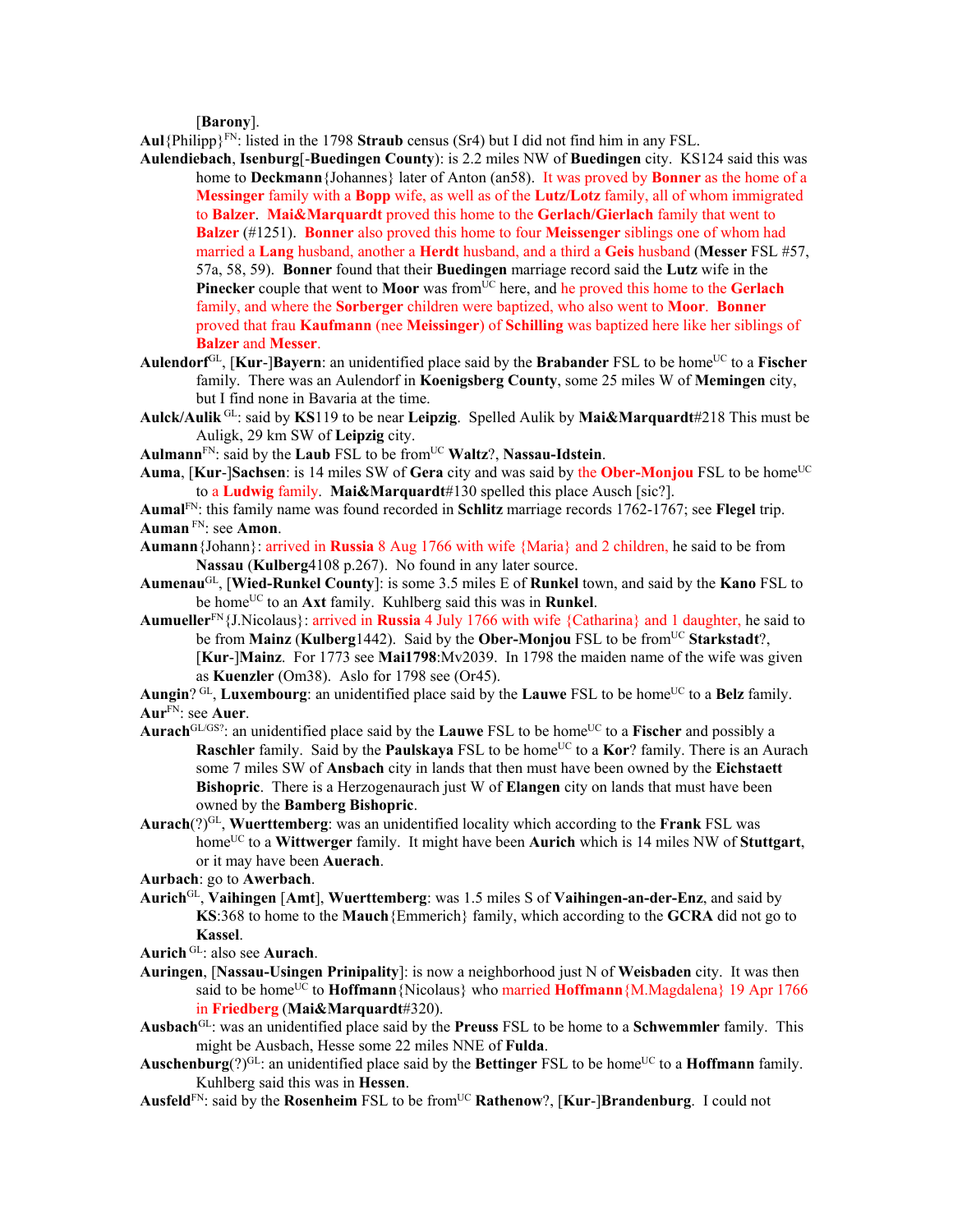[**Barony**].

**Aul**{Philipp}<sup>FN</sup>: listed in the 1798 **Straub** census (Sr4) but I did not find him in any FSL.

- **Aulendiebach**, **Isenburg**[-**Buedingen County**): is 2.2 miles NW of **Buedingen** city. KS124 said this was home to **Deckmann**{Johannes} later of Anton (an58). It was proved by **Bonner** as the home of a **Messinger** family with a **Bopp** wife, as well as of the **Lutz/Lotz** family, all of whom immigrated to **Balzer**. **Mai&Marquardt** proved this home to the **Gerlach/Gierlach** family that went to **Balzer** (#1251). **Bonner** also proved this home to four **Meissenger** siblings one of whom had married a **Lang** husband, another a **Herdt** husband, and a third a **Geis** husband (**Messer** FSL #57, 57a, 58, 59). **Bonner** found that their **Buedingen** marriage record said the **Lutz** wife in the **Pinecker** couple that went to **Moor** was from<sup>UC</sup> here, and he proved this home to the **Gerlach** family, and where the **Sorberger** children were baptized, who also went to **Moor**. **Bonner** proved that frau **Kaufmann** (nee **Meissinger**) of **Schilling** was baptized here like her siblings of **Balzer** and **Messer**.
- Aulendorf<sup>GL</sup>, [Kur-]Bayern: an unidentified place said by the Brabander FSL to be home<sup>UC</sup> to a Fischer family. There was an Aulendorf in **Koenigsberg County**, some 25 miles W of **Memingen** city, but I find none in Bavaria at the time.
- **Aulck/Aulik** GL: said by **KS**119 to be near **Leipzig**. Spelled Aulik by **Mai&Marquardt**#218 This must be Auligk, 29 km SW of **Leipzig** city.
- **Aulmann**FN: said by the **Laub** FSL to be fromUC **Waltz**?, **Nassau-Idstein**.
- **Auma, [Kur-]Sachsen**: is 14 miles SW of Gera city and was said by the Ober-Monjou FSL to be home<sup>UC</sup> to a **Ludwig** family. **Mai&Marquardt**#130 spelled this place Ausch [sic?].
- **Aumal**FN: this family name was found recorded in **Schlitz** marriage records 1762-1767; see **Flegel** trip. **Auman** FN: see **Amon**.
- **Aumann**{Johann}: arrived in **Russia** 8 Aug 1766 with wife {Maria} and 2 children, he said to be from **Nassau** (**Kulberg**4108 p.267). No found in any later source.
- **Aumenau**GL, [**Wied-Runkel County**]: is some 3.5 miles E of **Runkel** town, and said by the **Kano** FSL to be home<sup>UC</sup> to an **Axt** family. Kuhlberg said this was in **Runkel**.
- **Aumueller**FN{J.Nicolaus}: arrived in **Russia** 4 July 1766 with wife {Catharina} and 1 daughter, he said to be from **Mainz** (**Kulberg**1442). Said by the **Ober-Monjou** FSL to be from<sup>UC</sup> Starkstadt?, [**Kur**-]**Mainz**. For 1773 see **Mai1798**:Mv2039. In 1798 the maiden name of the wife was given as **Kuenzler** (Om38). Aslo for 1798 see (Or45).
- Aungin? GL, **Luxembourg**: an unidentified place said by the **Lauwe** FSL to be home<sup>UC</sup> to a **Belz** family. **Aur**FN: see **Auer**.
- Aurach<sup>GL/GS?</sup>: an unidentified place said by the **Lauwe** FSL to be home<sup>UC</sup> to a **Fischer** and possibly a **Raschler** family. Said by the **Paulskaya** FSL to be home<sup>UC</sup> to a **Kor**? family. There is an Aurach some 7 miles SW of **Ansbach** city in lands that then must have been owned by the **Eichstaett Bishopric**. There is a Herzogenaurach just W of **Elangen** city on lands that must have been owned by the **Bamberg Bishopric**.
- **Aurach**(?)GL, **Wuerttemberg**: was an unidentified locality which according to the **Frank** FSL was home<sup>UC</sup> to a **Wittwerger** family. It might have been **Aurich** which is 14 miles NW of **Stutteart**, or it may have been **Auerach**.
- **Aurbach**: go to **Awerbach**.
- **Aurich**GL, **Vaihingen** [**Amt**], **Wuerttemberg**: was 1.5 miles S of **Vaihingen-an-der-Enz**, and said by **KS**:368 to home to the **Mauch**{Emmerich} family, which according to the **GCRA** did not go to **Kassel**.
- **Aurich** GL: also see **Aurach**.
- **Auringen**, [**Nassau-Usingen Prinipality**]: is now a neighborhood just N of **Weisbaden** city. It was then said to be home<sup>UC</sup> to **Hoffmann** {Nicolaus} who married **Hoffmann** {M.Magdalena} 19 Apr 1766 in **Friedberg** (**Mai&Marquardt**#320).
- **Ausbach**GL: was an unidentified place said by the **Preuss** FSL to be home to a **Schwemmler** family. This might be Ausbach, Hesse some 22 miles NNE of **Fulda**.
- Auschenburg(?)<sup>GL</sup>: an unidentified place said by the Bettinger FSL to be home<sup>UC</sup> to a **Hoffmann** family. Kuhlberg said this was in **Hessen**.
- **Ausfeld**FN: said by the **Rosenheim** FSL to be fromUC **Rathenow**?, [**Kur**-]**Brandenburg**. I could not